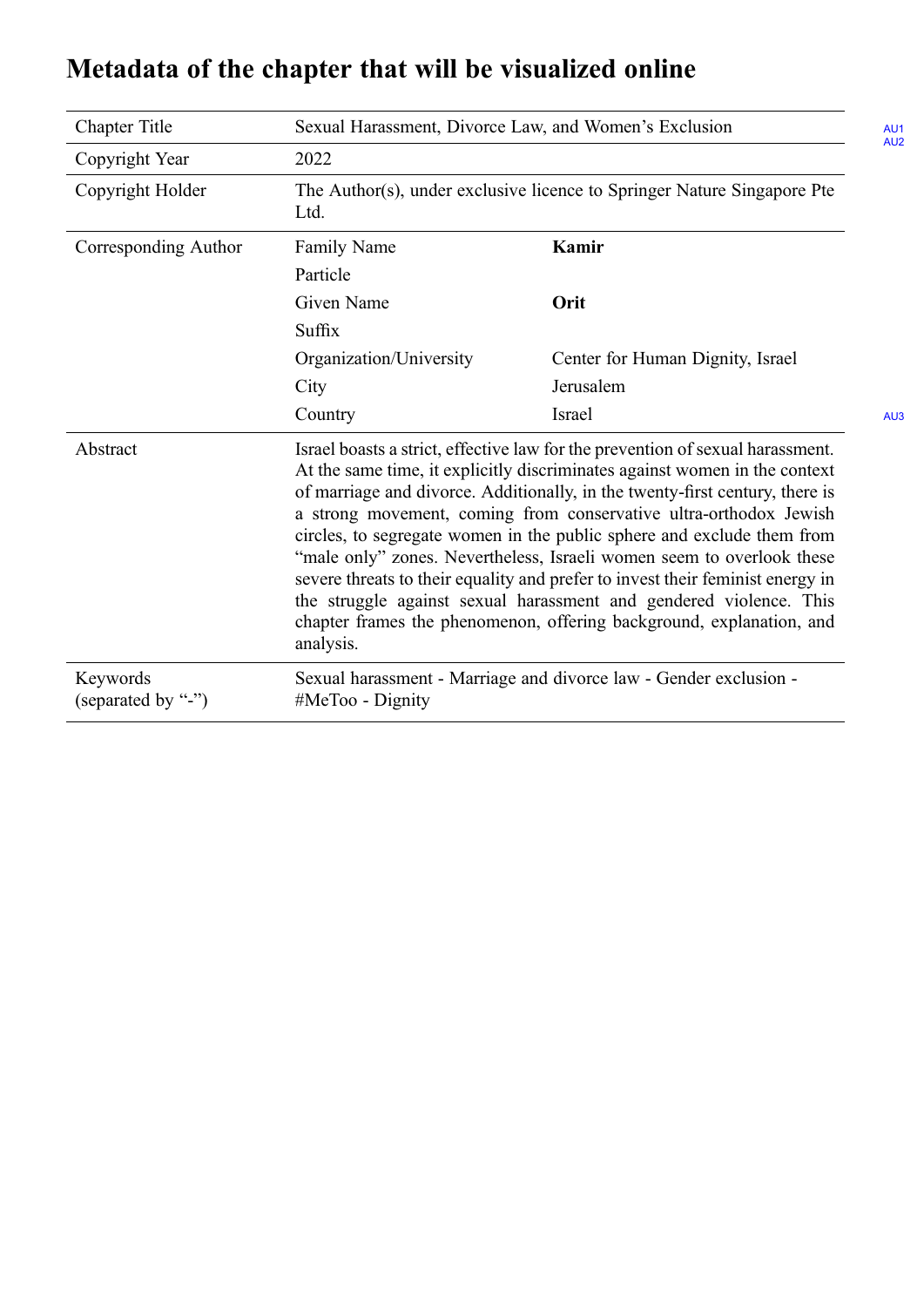| <b>Chapter Title</b>           | Sexual Harassment, Divorce Law, and Women's Exclusion<br>AU <sub>1</sub><br>AU2                                                                                                                                                                                                                                                                                                                                                                                                                                                                                                                                                                                                                                   |                                  |            |
|--------------------------------|-------------------------------------------------------------------------------------------------------------------------------------------------------------------------------------------------------------------------------------------------------------------------------------------------------------------------------------------------------------------------------------------------------------------------------------------------------------------------------------------------------------------------------------------------------------------------------------------------------------------------------------------------------------------------------------------------------------------|----------------------------------|------------|
| Copyright Year                 | 2022                                                                                                                                                                                                                                                                                                                                                                                                                                                                                                                                                                                                                                                                                                              |                                  |            |
| Copyright Holder               | The Author(s), under exclusive licence to Springer Nature Singapore Pte<br>Ltd.                                                                                                                                                                                                                                                                                                                                                                                                                                                                                                                                                                                                                                   |                                  |            |
| Corresponding Author           | <b>Family Name</b>                                                                                                                                                                                                                                                                                                                                                                                                                                                                                                                                                                                                                                                                                                | Kamir                            |            |
|                                | Particle                                                                                                                                                                                                                                                                                                                                                                                                                                                                                                                                                                                                                                                                                                          |                                  |            |
|                                | Given Name                                                                                                                                                                                                                                                                                                                                                                                                                                                                                                                                                                                                                                                                                                        | Orit                             |            |
|                                | Suffix                                                                                                                                                                                                                                                                                                                                                                                                                                                                                                                                                                                                                                                                                                            |                                  |            |
|                                | Organization/University                                                                                                                                                                                                                                                                                                                                                                                                                                                                                                                                                                                                                                                                                           | Center for Human Dignity, Israel |            |
|                                | City                                                                                                                                                                                                                                                                                                                                                                                                                                                                                                                                                                                                                                                                                                              | Jerusalem                        |            |
|                                | Country                                                                                                                                                                                                                                                                                                                                                                                                                                                                                                                                                                                                                                                                                                           | Israel                           | <b>AU3</b> |
| Abstract                       | Israel boasts a strict, effective law for the prevention of sexual harassment.<br>At the same time, it explicitly discriminates against women in the context<br>of marriage and divorce. Additionally, in the twenty-first century, there is<br>a strong movement, coming from conservative ultra-orthodox Jewish<br>circles, to segregate women in the public sphere and exclude them from<br>"male only" zones. Nevertheless, Israeli women seem to overlook these<br>severe threats to their equality and prefer to invest their feminist energy in<br>the struggle against sexual harassment and gendered violence. This<br>chapter frames the phenomenon, offering background, explanation, and<br>analysis. |                                  |            |
| Keywords<br>(separated by "-") | Sexual harassment - Marriage and divorce law - Gender exclusion -<br>#MeToo - Dignity                                                                                                                                                                                                                                                                                                                                                                                                                                                                                                                                                                                                                             |                                  |            |

## <span id="page-0-0"></span>**Metadata of the chapter that will be visualized online**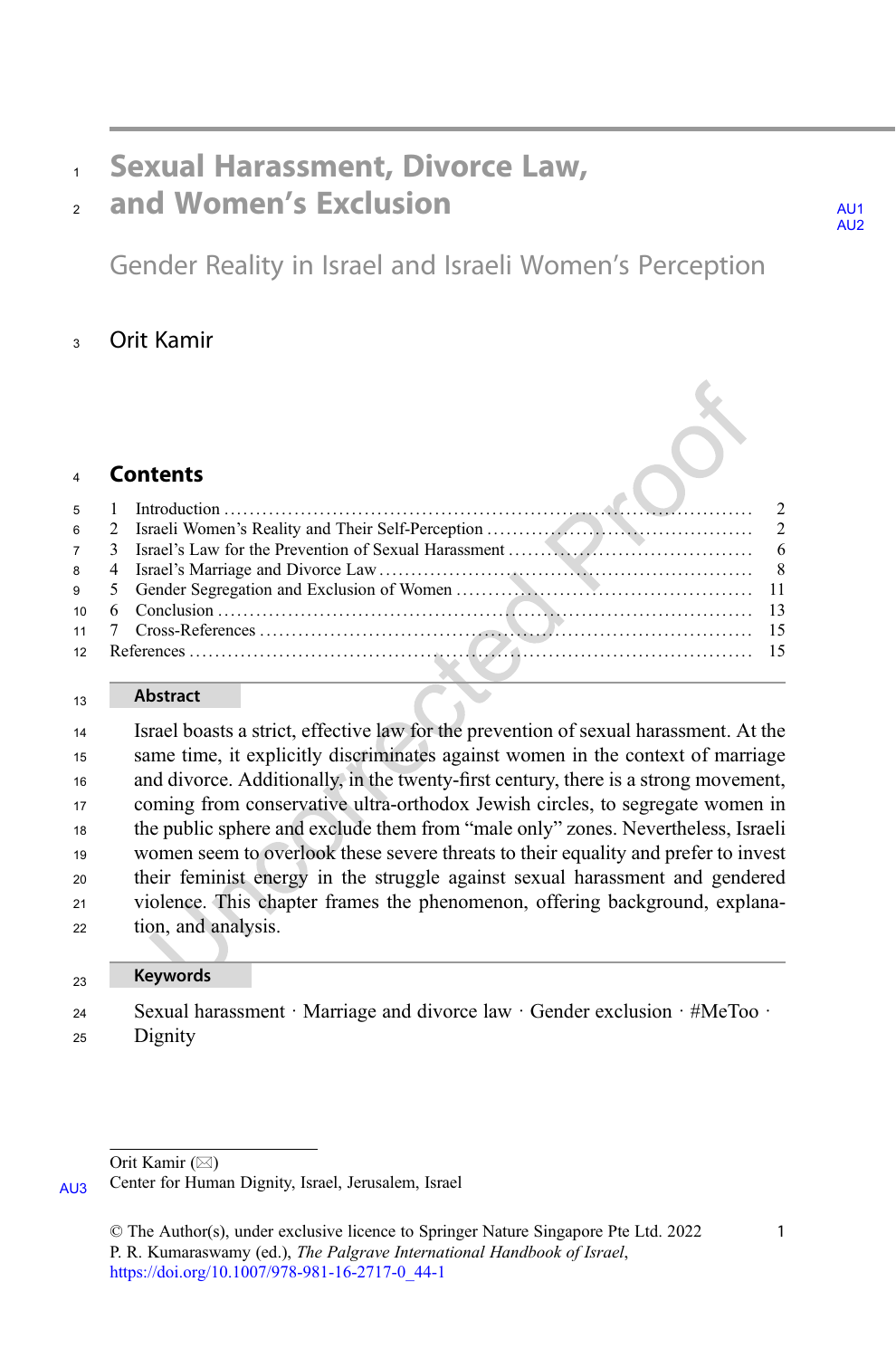### <span id="page-1-0"></span>Sexual Harassment, Divorce Law,

## $_2$  and Women's Exclusion  $_4$

Gender Reality in Israel and Israeli Women's Perception

#### Orit Kamir

|  | 4 LONCINS |  |
|--|-----------|--|
|  |           |  |
|  |           |  |
|  |           |  |
|  |           |  |
|  |           |  |
|  |           |  |
|  |           |  |
|  |           |  |

#### **Abstract**

 Israel boasts a strict, effective law for the prevention of sexual harassment. At the same time, it explicitly discriminates against women in the context of marriage and divorce. Additionally, in the twenty-first century, there is a strong movement, coming from conservative ultra-orthodox Jewish circles, to segregate women in the public sphere and exclude them from "male only" zones. Nevertheless, Israeli women seem to overlook these severe threats to their equality and prefer to invest their feminist energy in the struggle against sexual harassment and gendered violence. This chapter frames the phenomenon, offering background, explana-tion, and analysis.

#### Keywords

 Sexual harassment · Marriage and divorce law · Gender exclusion · #MeToo · Dignity

Orit Kamir  $(\boxtimes)$ 

[AU3](#page-18-0) Center for Human Dignity, Israel, Jerusalem, Israel

AU<sub>2</sub>

<sup>©</sup> The Author(s), under exclusive licence to Springer Nature Singapore Pte Ltd. 2022 P. R. Kumaraswamy (ed.), The Palgrave International Handbook of Israel, [https://doi.org/10.1007/978-981-16-2717-0\\_44-1](https://doi.org/10.1007/978-981-16-2717-0_44-1#DOI)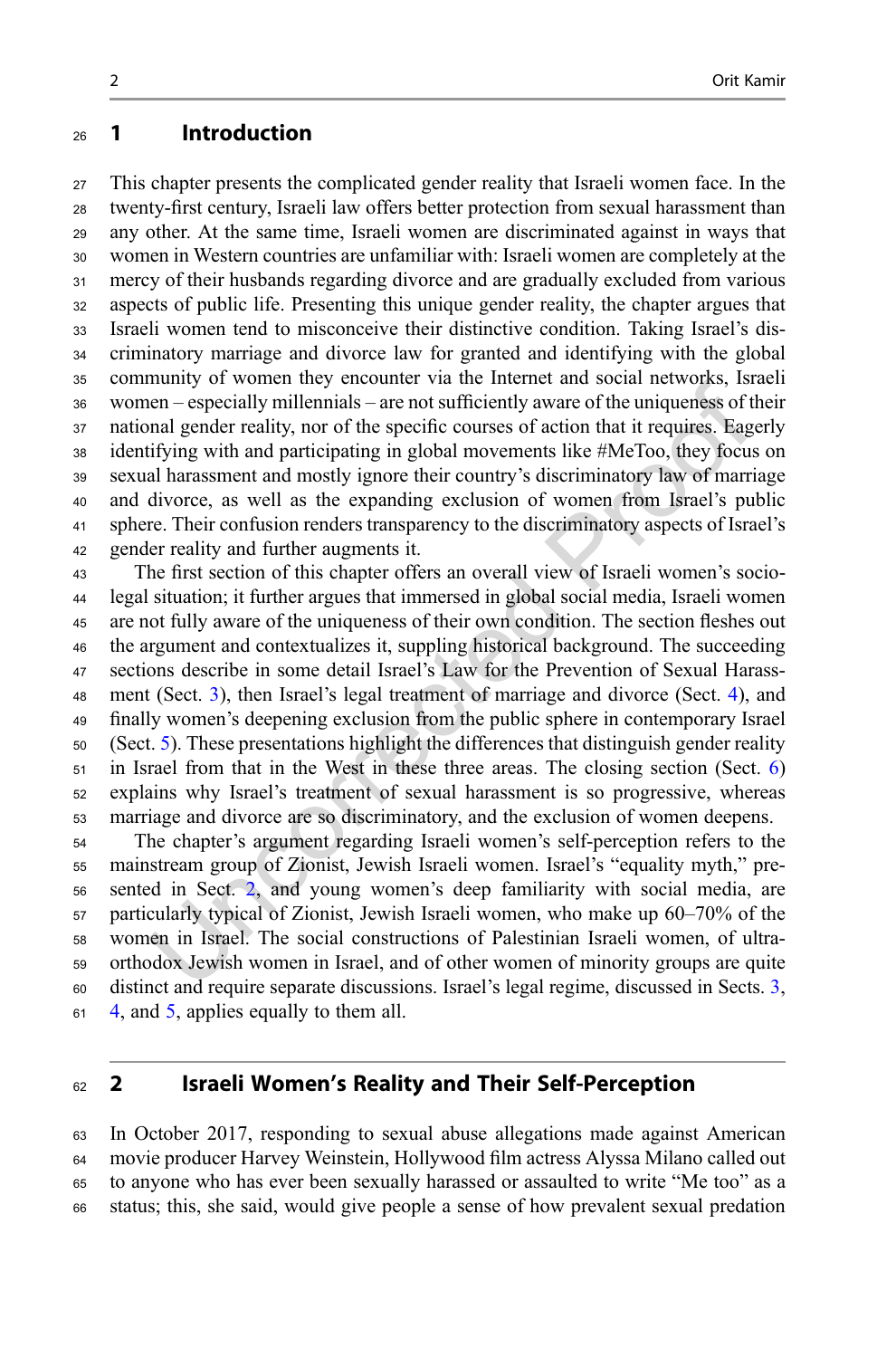#### 1 Introduction

 This chapter presents the complicated gender reality that Israeli women face. In the twenty-first century, Israeli law offers better protection from sexual harassment than any other. At the same time, Israeli women are discriminated against in ways that women in Western countries are unfamiliar with: Israeli women are completely at the mercy of their husbands regarding divorce and are gradually excluded from various aspects of public life. Presenting this unique gender reality, the chapter argues that Israeli women tend to misconceive their distinctive condition. Taking Israel's dis- criminatory marriage and divorce law for granted and identifying with the global community of women they encounter via the Internet and social networks, Israeli women – especially millennials – are not sufficiently aware of the uniqueness of their national gender reality, nor of the specific courses of action that it requires. Eagerly identifying with and participating in global movements like #MeToo, they focus on sexual harassment and mostly ignore their country's discriminatory law of marriage and divorce, as well as the expanding exclusion of women from Israel's public sphere. Their confusion renders transparency to the discriminatory aspects of Israel's gender reality and further augments it.

 The first section of this chapter offers an overall view of Israeli women's socio- legal situation; it further argues that immersed in global social media, Israeli women are not fully aware of the uniqueness of their own condition. The section fleshes out the argument and contextualizes it, suppling historical background. The succeeding sections describe in some detail Israel's Law for the Prevention of Sexual Harass- ment (Sect. [3\)](#page-6-0), then Israel's legal treatment of marriage and divorce (Sect. [4](#page-8-0)), and finally women's deepening exclusion from the public sphere in contemporary Israel (Sect. [5\)](#page-11-0). These presentations highlight the differences that distinguish gender reality in Israel from that in the West in these three areas. The closing section (Sect. [6](#page-13-0)) explains why Israel's treatment of sexual harassment is so progressive, whereas marriage and divorce are so discriminatory, and the exclusion of women deepens.

 The chapter's argument regarding Israeli women's self-perception refers to the mainstream group of Zionist, Jewish Israeli women. Israel's "equality myth," pre- sented in Sect. 2, and young women's deep familiarity with social media, are particularly typical of Zionist, Jewish Israeli women, who make up 60–70% of the women in Israel. The social constructions of Palestinian Israeli women, of ultra- orthodox Jewish women in Israel, and of other women of minority groups are quite distinct and require separate discussions. Israel's legal regime, discussed in Sects. [3](#page-6-0), [4,](#page-8-0) and [5](#page-11-0), applies equally to them all.

#### 2 Israeli Women's Reality and Their Self-Perception

 In October 2017, responding to sexual abuse allegations made against American movie producer Harvey Weinstein, Hollywood film actress Alyssa Milano called out to anyone who has ever been sexually harassed or assaulted to write "Me too" as a status; this, she said, would give people a sense of how prevalent sexual predation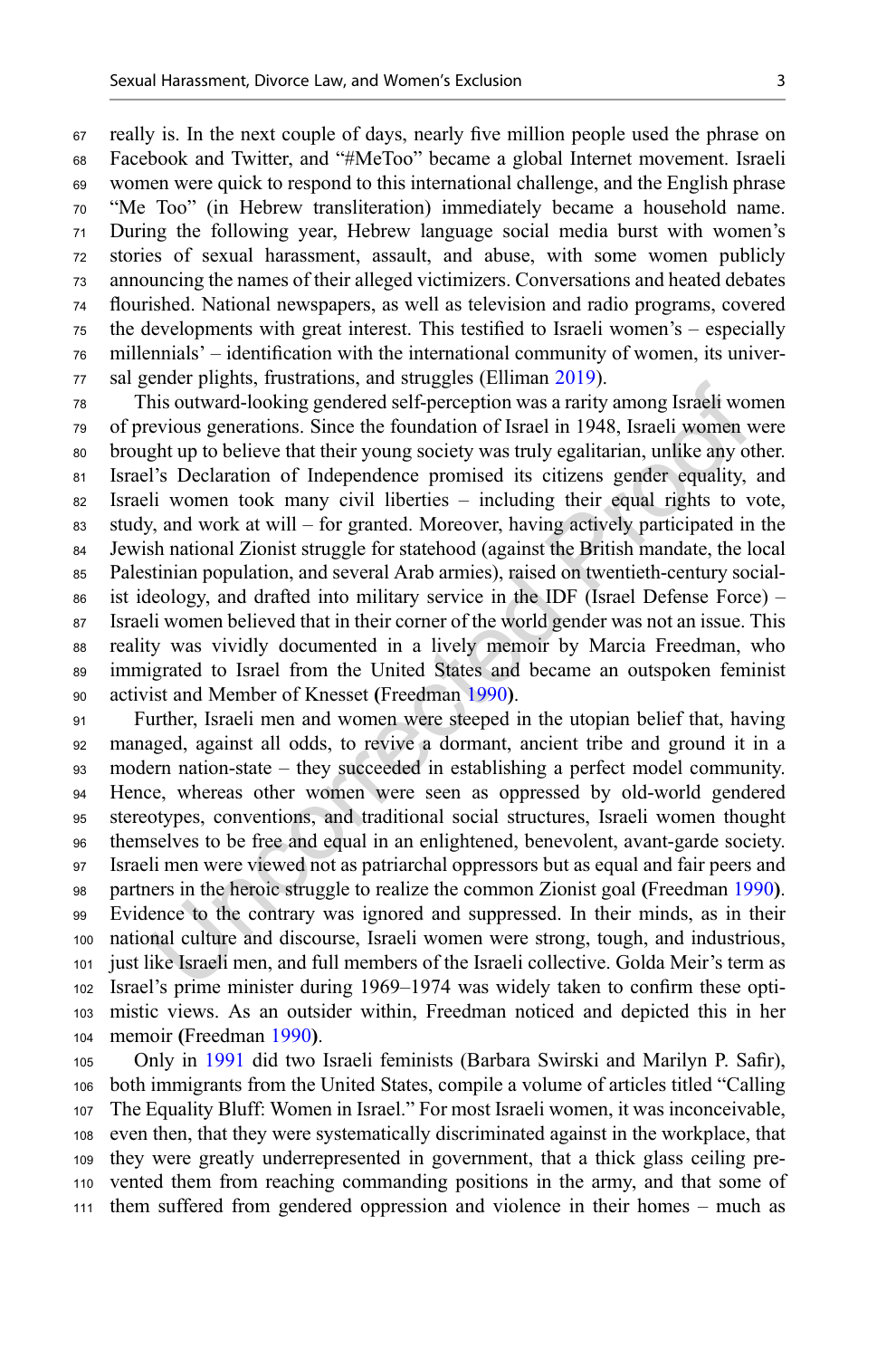really is. In the next couple of days, nearly five million people used the phrase on Facebook and Twitter, and "#MeToo" became a global Internet movement. Israeli women were quick to respond to this international challenge, and the English phrase "Me Too" (in Hebrew transliteration) immediately became a household name. During the following year, Hebrew language social media burst with women's stories of sexual harassment, assault, and abuse, with some women publicly announcing the names of their alleged victimizers. Conversations and heated debates flourished. National newspapers, as well as television and radio programs, covered the developments with great interest. This testified to Israeli women's – especially millennials' – identification with the international community of women, its univer-sal gender plights, frustrations, and struggles (Elliman [2019](#page-15-0)).

 This outward-looking gendered self-perception was a rarity among Israeli women of previous generations. Since the foundation of Israel in 1948, Israeli women were brought up to believe that their young society was truly egalitarian, unlike any other. Israel's Declaration of Independence promised its citizens gender equality, and Israeli women took many civil liberties – including their equal rights to vote, study, and work at will – for granted. Moreover, having actively participated in the Jewish national Zionist struggle for statehood (against the British mandate, the local Palestinian population, and several Arab armies), raised on twentieth-century social- ist ideology, and drafted into military service in the IDF (Israel Defense Force) – Israeli women believed that in their corner of the world gender was not an issue. This reality was vividly documented in a lively memoir by Marcia Freedman, who immigrated to Israel from the United States and became an outspoken feminist activist and Member of Knesset (Freedman [1990](#page-15-0)).

 Further, Israeli men and women were steeped in the utopian belief that, having managed, against all odds, to revive a dormant, ancient tribe and ground it in a modern nation-state – they succeeded in establishing a perfect model community. Hence, whereas other women were seen as oppressed by old-world gendered stereotypes, conventions, and traditional social structures, Israeli women thought themselves to be free and equal in an enlightened, benevolent, avant-garde society. Israeli men were viewed not as patriarchal oppressors but as equal and fair peers and partners in the heroic struggle to realize the common Zionist goal (Freedman [1990](#page-15-0)). Evidence to the contrary was ignored and suppressed. In their minds, as in their national culture and discourse, Israeli women were strong, tough, and industrious, just like Israeli men, and full members of the Israeli collective. Golda Meir's term as Israel's prime minister during 1969–1974 was widely taken to confirm these opti- mistic views. As an outsider within, Freedman noticed and depicted this in her memoir (Freedman [1990](#page-15-0)).

 Only in [1991](#page-16-0) did two Israeli feminists (Barbara Swirski and Marilyn P. Safir), both immigrants from the United States, compile a volume of articles titled "Calling The Equality Bluff: Women in Israel." For most Israeli women, it was inconceivable, even then, that they were systematically discriminated against in the workplace, that they were greatly underrepresented in government, that a thick glass ceiling pre- vented them from reaching commanding positions in the army, and that some of them suffered from gendered oppression and violence in their homes – much as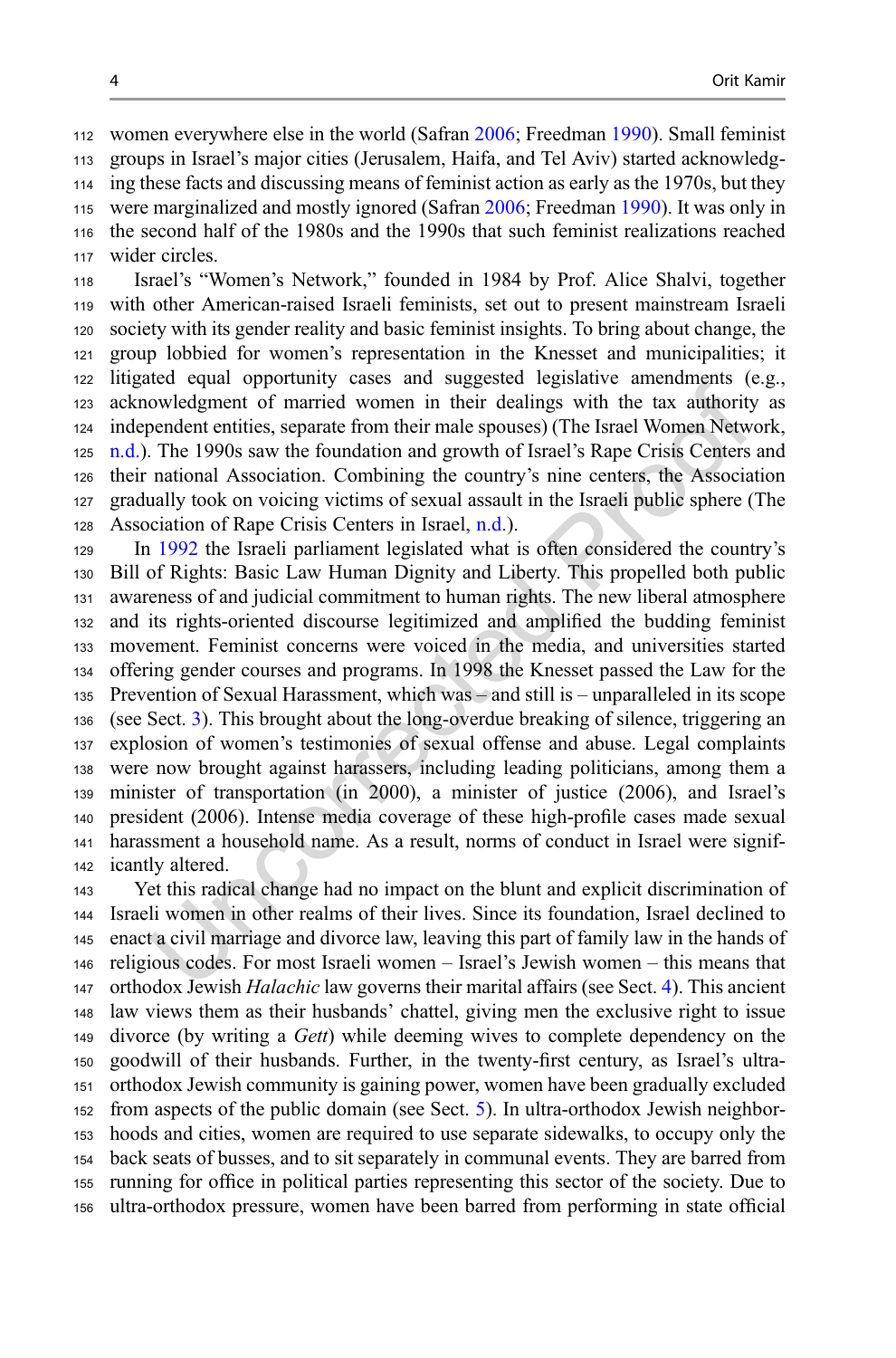women everywhere else in the world (Safran [2006;](#page-16-0) Freedman [1990\)](#page-15-0). Small feminist groups in Israel's major cities (Jerusalem, Haifa, and Tel Aviv) started acknowledg- ing these facts and discussing means of feminist action as early as the 1970s, but they were marginalized and mostly ignored (Safran [2006;](#page-16-0) Freedman [1990](#page-15-0)). It was only in the second half of the 1980s and the 1990s that such feminist realizations reached wider circles.

 Israel's "Women's Network," founded in 1984 by Prof. Alice Shalvi, together with other American-raised Israeli feminists, set out to present mainstream Israeli society with its gender reality and basic feminist insights. To bring about change, the group lobbied for women's representation in the Knesset and municipalities; it litigated equal opportunity cases and suggested legislative amendments (e.g., acknowledgment of married women in their dealings with the tax authority as independent entities, separate from their male spouses) (The Israel Women Network, [n.d.\)](#page-16-0). The 1990s saw the foundation and growth of Israel's Rape Crisis Centers and their national Association. Combining the country's nine centers, the Association gradually took on voicing victims of sexual assault in the Israeli public sphere (The Association of Rape Crisis Centers in Israel, [n.d.\)](#page-16-0).

 In [1992](#page-15-0) the Israeli parliament legislated what is often considered the country's Bill of Rights: Basic Law Human Dignity and Liberty. This propelled both public awareness of and judicial commitment to human rights. The new liberal atmosphere and its rights-oriented discourse legitimized and amplified the budding feminist movement. Feminist concerns were voiced in the media, and universities started offering gender courses and programs. In 1998 the Knesset passed the Law for the Prevention of Sexual Harassment, which was – and still is – unparalleled in its scope (see Sect. [3\)](#page-6-0). This brought about the long-overdue breaking of silence, triggering an explosion of women's testimonies of sexual offense and abuse. Legal complaints were now brought against harassers, including leading politicians, among them a minister of transportation (in 2000), a minister of justice (2006), and Israel's president (2006). Intense media coverage of these high-profile cases made sexual harassment a household name. As a result, norms of conduct in Israel were signif-icantly altered.

 Yet this radical change had no impact on the blunt and explicit discrimination of Israeli women in other realms of their lives. Since its foundation, Israel declined to enact a civil marriage and divorce law, leaving this part of family law in the hands of religious codes. For most Israeli women – Israel's Jewish women – this means that orthodox Jewish Halachic law governs their marital affairs (see Sect. [4\)](#page-8-0). This ancient law views them as their husbands' chattel, giving men the exclusive right to issue 149 divorce (by writing a Gett) while deeming wives to complete dependency on the goodwill of their husbands. Further, in the twenty-first century, as Israel's ultra- orthodox Jewish community is gaining power, women have been gradually excluded from aspects of the public domain (see Sect. [5](#page-11-0)). In ultra-orthodox Jewish neighbor- hoods and cities, women are required to use separate sidewalks, to occupy only the back seats of busses, and to sit separately in communal events. They are barred from running for office in political parties representing this sector of the society. Due to ultra-orthodox pressure, women have been barred from performing in state official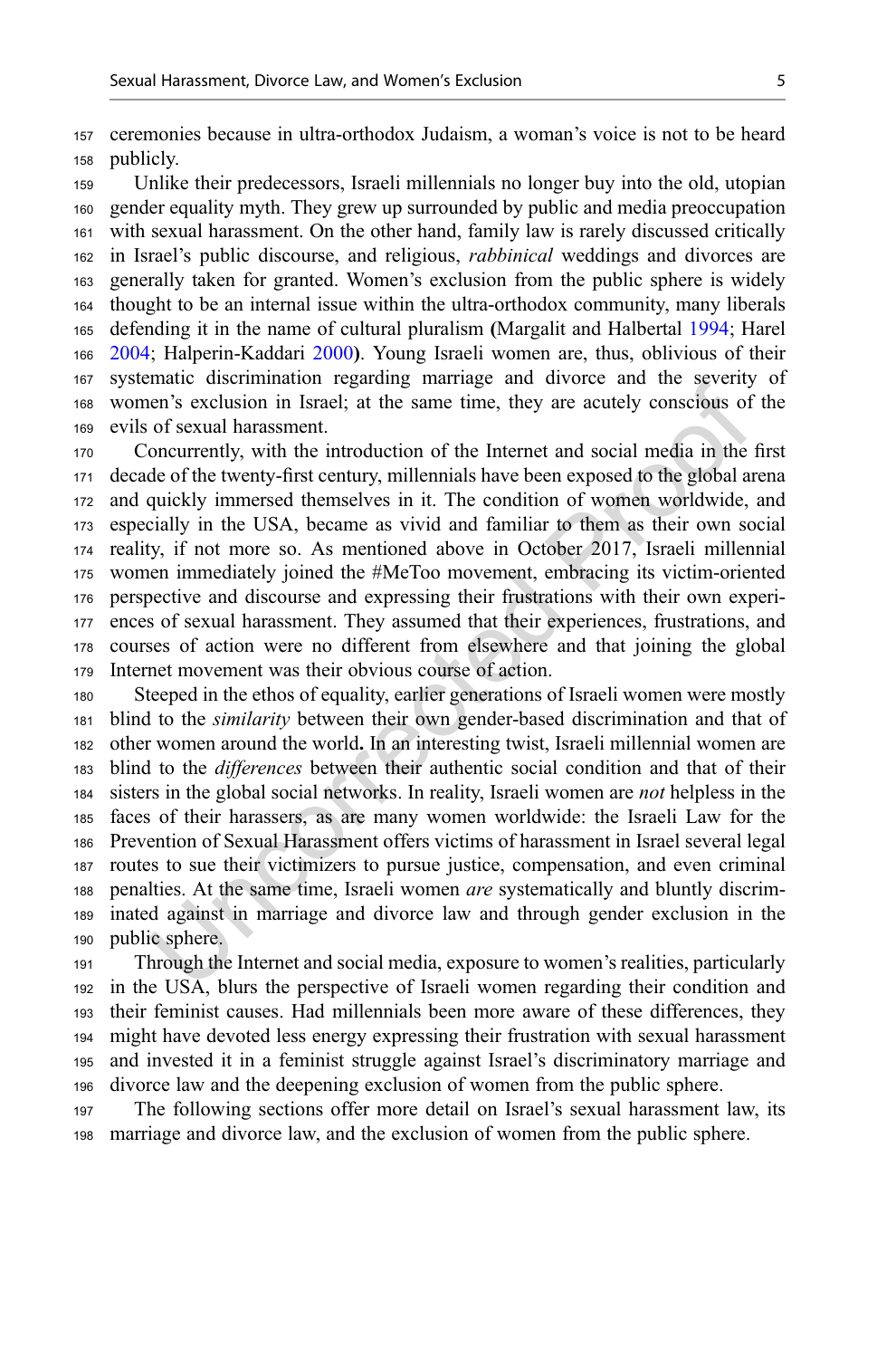ceremonies because in ultra-orthodox Judaism, a woman's voice is not to be heard publicly.

 Unlike their predecessors, Israeli millennials no longer buy into the old, utopian gender equality myth. They grew up surrounded by public and media preoccupation with sexual harassment. On the other hand, family law is rarely discussed critically in Israel's public discourse, and religious, rabbinical weddings and divorces are generally taken for granted. Women's exclusion from the public sphere is widely thought to be an internal issue within the ultra-orthodox community, many liberals defending it in the name of cultural pluralism (Margalit and Halbertal [1994;](#page-15-0) Harel [2004;](#page-15-0) Halperin-Kaddari [2000](#page-15-0)). Young Israeli women are, thus, oblivious of their systematic discrimination regarding marriage and divorce and the severity of women's exclusion in Israel; at the same time, they are acutely conscious of the evils of sexual harassment.

 Concurrently, with the introduction of the Internet and social media in the first decade of the twenty-first century, millennials have been exposed to the global arena and quickly immersed themselves in it. The condition of women worldwide, and especially in the USA, became as vivid and familiar to them as their own social reality, if not more so. As mentioned above in October 2017, Israeli millennial women immediately joined the #MeToo movement, embracing its victim-oriented perspective and discourse and expressing their frustrations with their own experi- ences of sexual harassment. They assumed that their experiences, frustrations, and courses of action were no different from elsewhere and that joining the global Internet movement was their obvious course of action.

 Steeped in the ethos of equality, earlier generations of Israeli women were mostly blind to the similarity between their own gender-based discrimination and that of other women around the world. In an interesting twist, Israeli millennial women are blind to the differences between their authentic social condition and that of their sisters in the global social networks. In reality, Israeli women are not helpless in the faces of their harassers, as are many women worldwide: the Israeli Law for the Prevention of Sexual Harassment offers victims of harassment in Israel several legal routes to sue their victimizers to pursue justice, compensation, and even criminal penalties. At the same time, Israeli women are systematically and bluntly discrim- inated against in marriage and divorce law and through gender exclusion in the public sphere.

 Through the Internet and social media, exposure to women's realities, particularly in the USA, blurs the perspective of Israeli women regarding their condition and their feminist causes. Had millennials been more aware of these differences, they might have devoted less energy expressing their frustration with sexual harassment and invested it in a feminist struggle against Israel's discriminatory marriage and divorce law and the deepening exclusion of women from the public sphere.

 The following sections offer more detail on Israel's sexual harassment law, its marriage and divorce law, and the exclusion of women from the public sphere.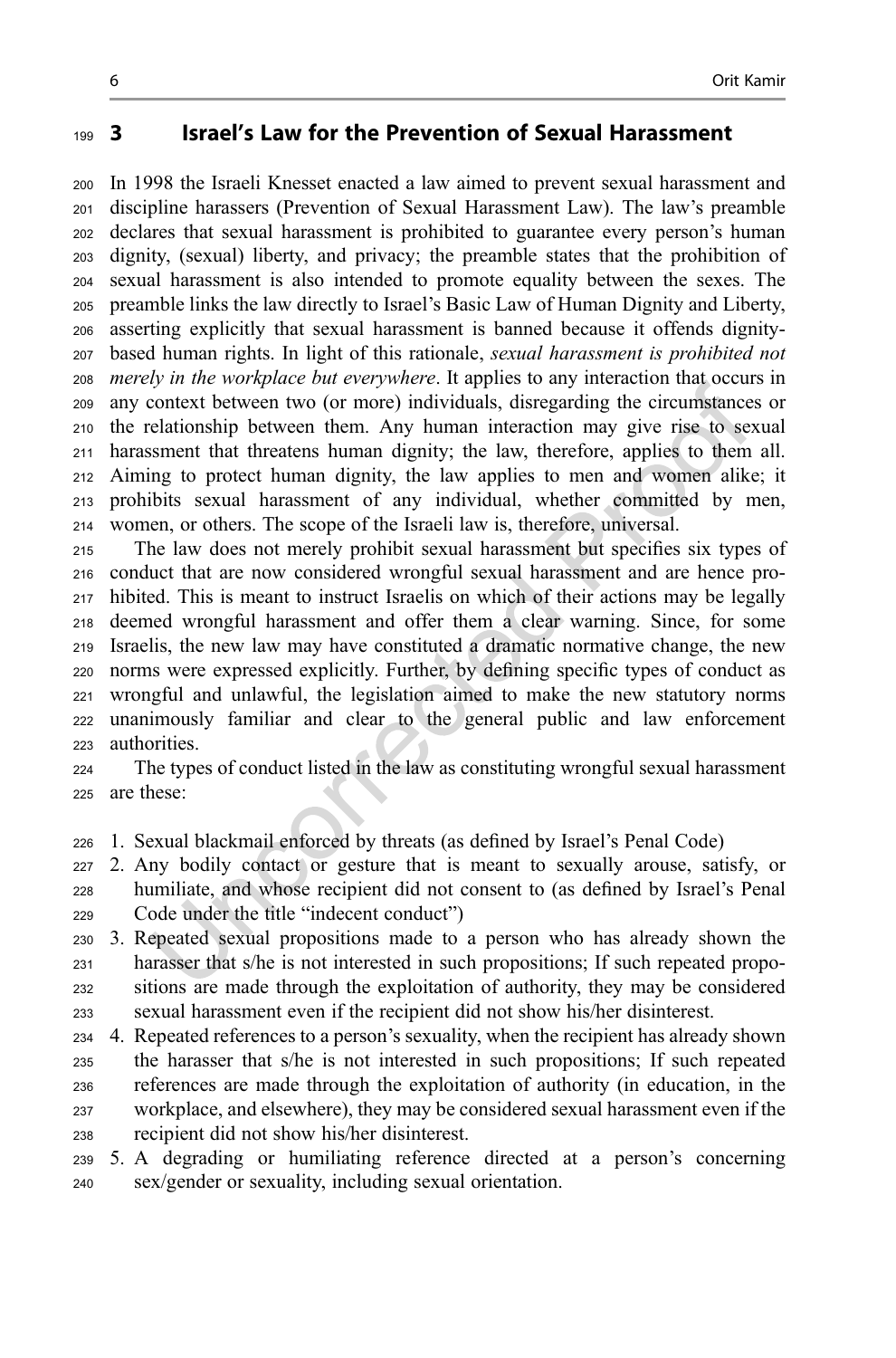#### <span id="page-6-0"></span>3 Israel's Law for the Prevention of Sexual Harassment

 In 1998 the Israeli Knesset enacted a law aimed to prevent sexual harassment and discipline harassers (Prevention of Sexual Harassment Law). The law's preamble declares that sexual harassment is prohibited to guarantee every person's human dignity, (sexual) liberty, and privacy; the preamble states that the prohibition of sexual harassment is also intended to promote equality between the sexes. The preamble links the law directly to Israel's Basic Law of Human Dignity and Liberty, asserting explicitly that sexual harassment is banned because it offends dignity- based human rights. In light of this rationale, sexual harassment is prohibited not merely in the workplace but everywhere. It applies to any interaction that occurs in any context between two (or more) individuals, disregarding the circumstances or the relationship between them. Any human interaction may give rise to sexual harassment that threatens human dignity; the law, therefore, applies to them all. Aiming to protect human dignity, the law applies to men and women alike; it prohibits sexual harassment of any individual, whether committed by men, women, or others. The scope of the Israeli law is, therefore, universal.

 The law does not merely prohibit sexual harassment but specifies six types of conduct that are now considered wrongful sexual harassment and are hence pro- hibited. This is meant to instruct Israelis on which of their actions may be legally deemed wrongful harassment and offer them a clear warning. Since, for some Israelis, the new law may have constituted a dramatic normative change, the new norms were expressed explicitly. Further, by defining specific types of conduct as wrongful and unlawful, the legislation aimed to make the new statutory norms unanimously familiar and clear to the general public and law enforcement authorities.

 The types of conduct listed in the law as constituting wrongful sexual harassment are these:

1. Sexual blackmail enforced by threats (as defined by Israel's Penal Code)

 2. Any bodily contact or gesture that is meant to sexually arouse, satisfy, or humiliate, and whose recipient did not consent to (as defined by Israel's Penal Code under the title "indecent conduct")

 3. Repeated sexual propositions made to a person who has already shown the harasser that s/he is not interested in such propositions; If such repeated propo- sitions are made through the exploitation of authority, they may be considered sexual harassment even if the recipient did not show his/her disinterest.

 4. Repeated references to a person's sexuality, when the recipient has already shown the harasser that s/he is not interested in such propositions; If such repeated references are made through the exploitation of authority (in education, in the workplace, and elsewhere), they may be considered sexual harassment even if the recipient did not show his/her disinterest.

 5. A degrading or humiliating reference directed at a person's concerning sex/gender or sexuality, including sexual orientation.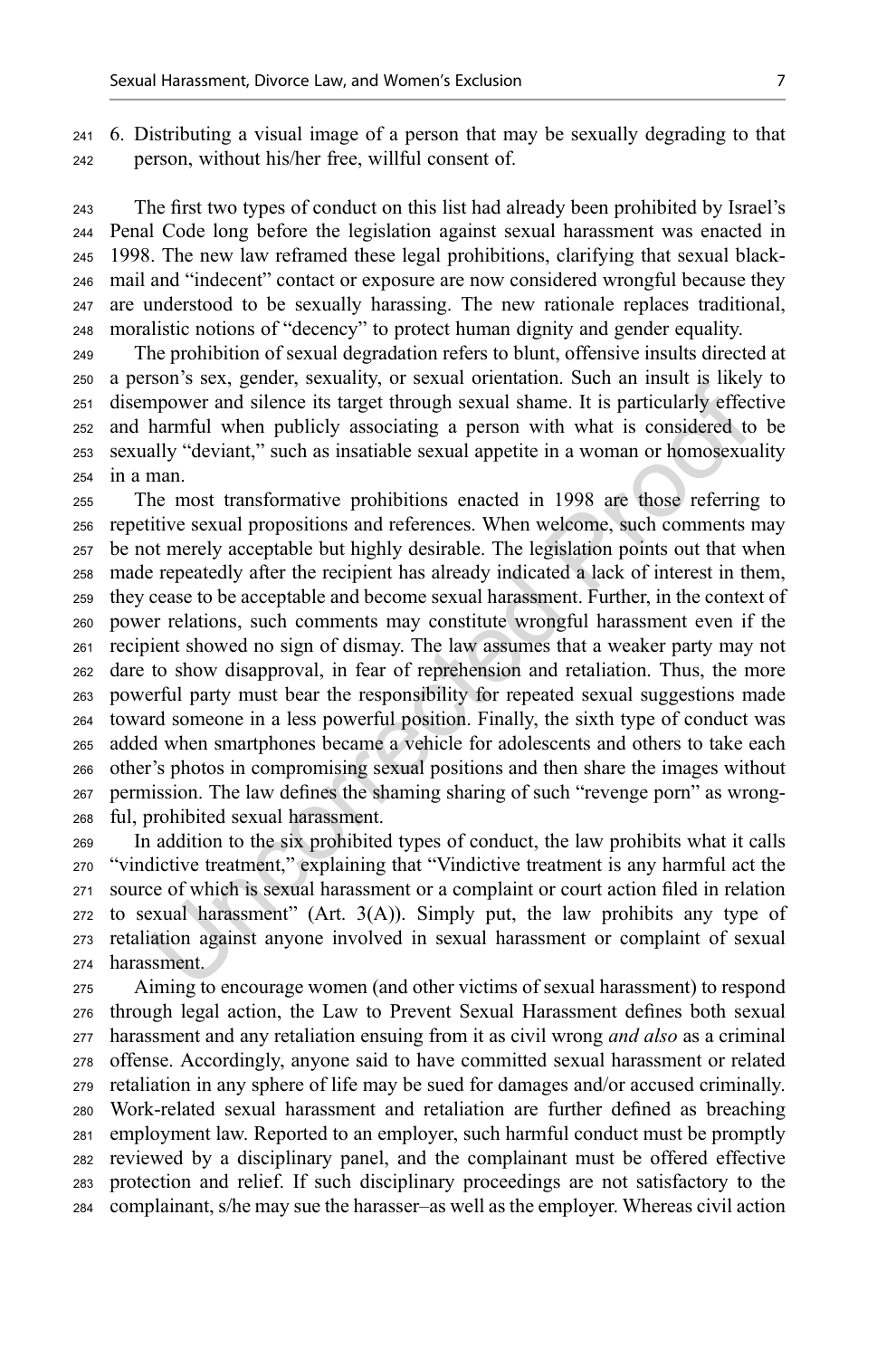6. Distributing a visual image of a person that may be sexually degrading to that person, without his/her free, willful consent of.

 The first two types of conduct on this list had already been prohibited by Israel's Penal Code long before the legislation against sexual harassment was enacted in 1998. The new law reframed these legal prohibitions, clarifying that sexual black- mail and "indecent" contact or exposure are now considered wrongful because they are understood to be sexually harassing. The new rationale replaces traditional, moralistic notions of "decency" to protect human dignity and gender equality.

 The prohibition of sexual degradation refers to blunt, offensive insults directed at a person's sex, gender, sexuality, or sexual orientation. Such an insult is likely to disempower and silence its target through sexual shame. It is particularly effective and harmful when publicly associating a person with what is considered to be sexually "deviant," such as insatiable sexual appetite in a woman or homosexuality in a man.

 The most transformative prohibitions enacted in 1998 are those referring to repetitive sexual propositions and references. When welcome, such comments may be not merely acceptable but highly desirable. The legislation points out that when made repeatedly after the recipient has already indicated a lack of interest in them, they cease to be acceptable and become sexual harassment. Further, in the context of power relations, such comments may constitute wrongful harassment even if the recipient showed no sign of dismay. The law assumes that a weaker party may not dare to show disapproval, in fear of reprehension and retaliation. Thus, the more powerful party must bear the responsibility for repeated sexual suggestions made toward someone in a less powerful position. Finally, the sixth type of conduct was added when smartphones became a vehicle for adolescents and others to take each other's photos in compromising sexual positions and then share the images without permission. The law defines the shaming sharing of such "revenge porn" as wrong-ful, prohibited sexual harassment.

 In addition to the six prohibited types of conduct, the law prohibits what it calls "vindictive treatment," explaining that "Vindictive treatment is any harmful act the source of which is sexual harassment or a complaint or court action filed in relation to sexual harassment" (Art. 3(A)). Simply put, the law prohibits any type of retaliation against anyone involved in sexual harassment or complaint of sexual harassment.

 Aiming to encourage women (and other victims of sexual harassment) to respond through legal action, the Law to Prevent Sexual Harassment defines both sexual 277 harassment and any retaliation ensuing from it as civil wrong *and also* as a criminal offense. Accordingly, anyone said to have committed sexual harassment or related retaliation in any sphere of life may be sued for damages and/or accused criminally. Work-related sexual harassment and retaliation are further defined as breaching employment law. Reported to an employer, such harmful conduct must be promptly reviewed by a disciplinary panel, and the complainant must be offered effective protection and relief. If such disciplinary proceedings are not satisfactory to the complainant, s/he may sue the harasser–as well as the employer. Whereas civil action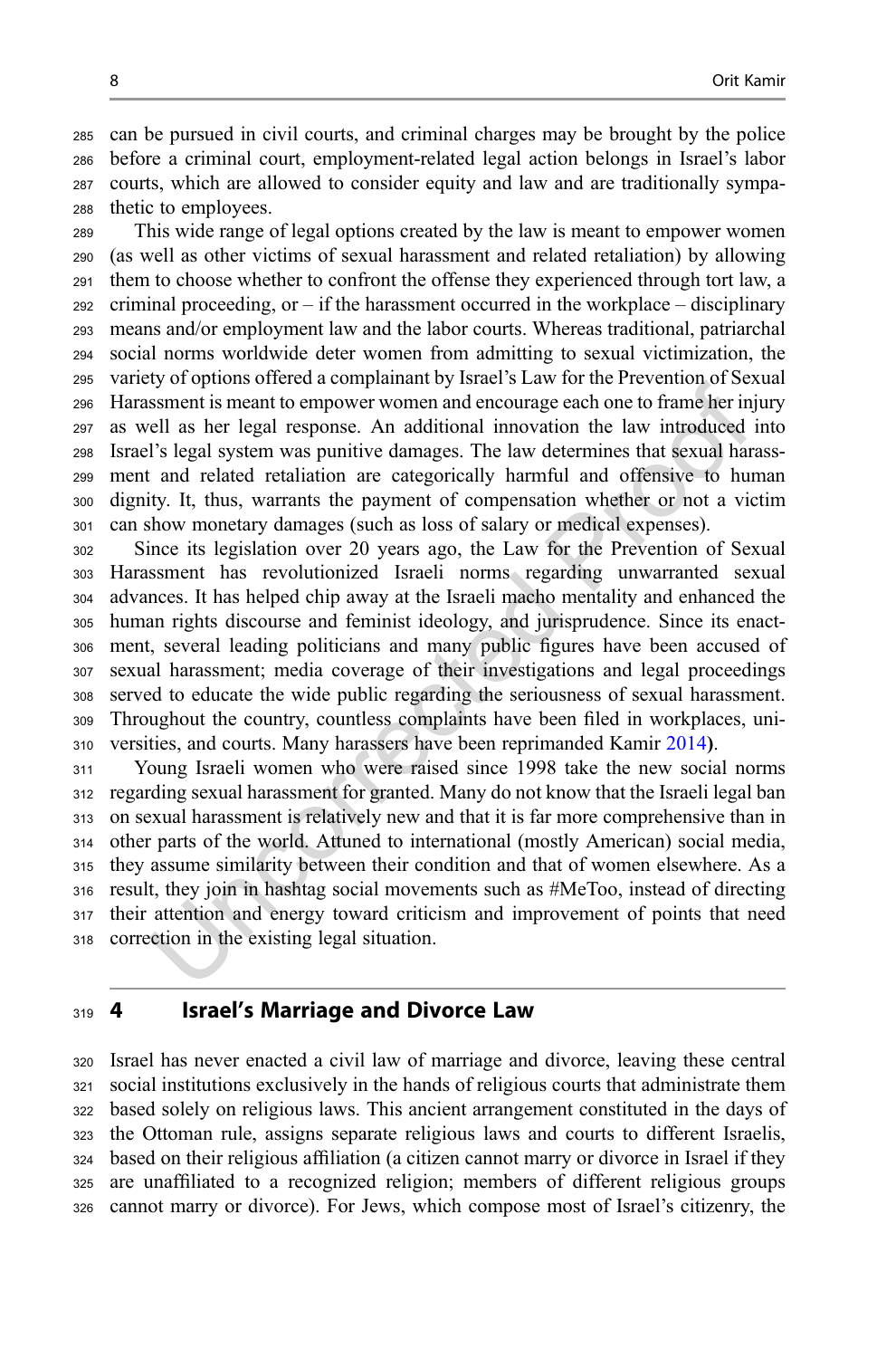<span id="page-8-0"></span> can be pursued in civil courts, and criminal charges may be brought by the police before a criminal court, employment-related legal action belongs in Israel's labor courts, which are allowed to consider equity and law and are traditionally sympa-thetic to employees.

 This wide range of legal options created by the law is meant to empower women (as well as other victims of sexual harassment and related retaliation) by allowing them to choose whether to confront the offense they experienced through tort law, a criminal proceeding, or – if the harassment occurred in the workplace – disciplinary means and/or employment law and the labor courts. Whereas traditional, patriarchal social norms worldwide deter women from admitting to sexual victimization, the variety of options offered a complainant by Israel's Law for the Prevention of Sexual Harassment is meant to empower women and encourage each one to frame her injury as well as her legal response. An additional innovation the law introduced into Israel's legal system was punitive damages. The law determines that sexual harass- ment and related retaliation are categorically harmful and offensive to human dignity. It, thus, warrants the payment of compensation whether or not a victim can show monetary damages (such as loss of salary or medical expenses).

 Since its legislation over 20 years ago, the Law for the Prevention of Sexual Harassment has revolutionized Israeli norms regarding unwarranted sexual advances. It has helped chip away at the Israeli macho mentality and enhanced the human rights discourse and feminist ideology, and jurisprudence. Since its enact- ment, several leading politicians and many public figures have been accused of sexual harassment; media coverage of their investigations and legal proceedings served to educate the wide public regarding the seriousness of sexual harassment. Throughout the country, countless complaints have been filed in workplaces, uni-versities, and courts. Many harassers have been reprimanded Kamir [2014](#page-15-0)).

 Young Israeli women who were raised since 1998 take the new social norms regarding sexual harassment for granted. Many do not know that the Israeli legal ban on sexual harassment is relatively new and that it is far more comprehensive than in other parts of the world. Attuned to international (mostly American) social media, they assume similarity between their condition and that of women elsewhere. As a result, they join in hashtag social movements such as #MeToo, instead of directing their attention and energy toward criticism and improvement of points that need correction in the existing legal situation.

#### 4 Israel's Marriage and Divorce Law

 Israel has never enacted a civil law of marriage and divorce, leaving these central social institutions exclusively in the hands of religious courts that administrate them based solely on religious laws. This ancient arrangement constituted in the days of the Ottoman rule, assigns separate religious laws and courts to different Israelis, based on their religious affiliation (a citizen cannot marry or divorce in Israel if they are unaffiliated to a recognized religion; members of different religious groups cannot marry or divorce). For Jews, which compose most of Israel's citizenry, the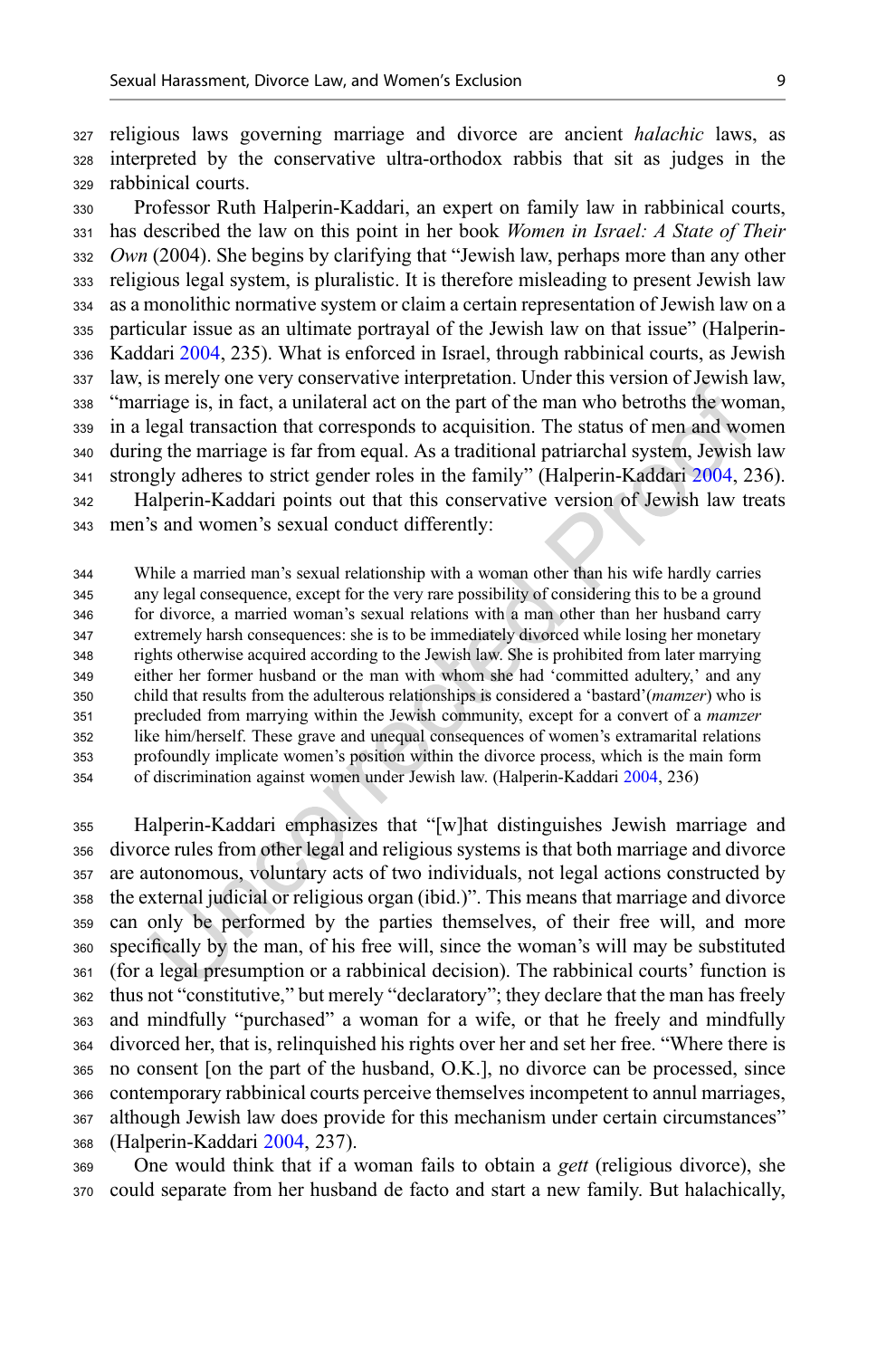religious laws governing marriage and divorce are ancient halachic laws, as interpreted by the conservative ultra-orthodox rabbis that sit as judges in the rabbinical courts.

 Professor Ruth Halperin-Kaddari, an expert on family law in rabbinical courts, has described the law on this point in her book Women in Israel: A State of Their *Own* (2004). She begins by clarifying that "Jewish law, perhaps more than any other religious legal system, is pluralistic. It is therefore misleading to present Jewish law as a monolithic normative system or claim a certain representation of Jewish law on a particular issue as an ultimate portrayal of the Jewish law on that issue" (Halperin- Kaddari [2004](#page-15-0), 235). What is enforced in Israel, through rabbinical courts, as Jewish law, is merely one very conservative interpretation. Under this version of Jewish law, "marriage is, in fact, a unilateral act on the part of the man who betroths the woman, in a legal transaction that corresponds to acquisition. The status of men and women during the marriage is far from equal. As a traditional patriarchal system, Jewish law strongly adheres to strict gender roles in the family" (Halperin-Kaddari [2004,](#page-15-0) 236). Halperin-Kaddari points out that this conservative version of Jewish law treats men's and women's sexual conduct differently:

 While a married man's sexual relationship with a woman other than his wife hardly carries any legal consequence, except for the very rare possibility of considering this to be a ground for divorce, a married woman's sexual relations with a man other than her husband carry extremely harsh consequences: she is to be immediately divorced while losing her monetary rights otherwise acquired according to the Jewish law. She is prohibited from later marrying either her former husband or the man with whom she had 'committed adultery,' and any 350 child that results from the adulterous relationships is considered a 'bastard'(mamzer) who is 351 precluded from marrying within the Jewish community, except for a convert of a *mamzer*  like him/herself. These grave and unequal consequences of women's extramarital relations profoundly implicate women's position within the divorce process, which is the main form of discrimination against women under Jewish law. (Halperin-Kaddari [2004,](#page-15-0) 236)

 Halperin-Kaddari emphasizes that "[w]hat distinguishes Jewish marriage and divorce rules from other legal and religious systems is that both marriage and divorce are autonomous, voluntary acts of two individuals, not legal actions constructed by the external judicial or religious organ (ibid.)". This means that marriage and divorce can only be performed by the parties themselves, of their free will, and more specifically by the man, of his free will, since the woman's will may be substituted (for a legal presumption or a rabbinical decision). The rabbinical courts' function is thus not "constitutive," but merely "declaratory"; they declare that the man has freely and mindfully "purchased" a woman for a wife, or that he freely and mindfully divorced her, that is, relinquished his rights over her and set her free. "Where there is no consent [on the part of the husband, O.K.], no divorce can be processed, since contemporary rabbinical courts perceive themselves incompetent to annul marriages, although Jewish law does provide for this mechanism under certain circumstances" (Halperin-Kaddari [2004](#page-15-0), 237).

 One would think that if a woman fails to obtain a gett (religious divorce), she could separate from her husband de facto and start a new family. But halachically,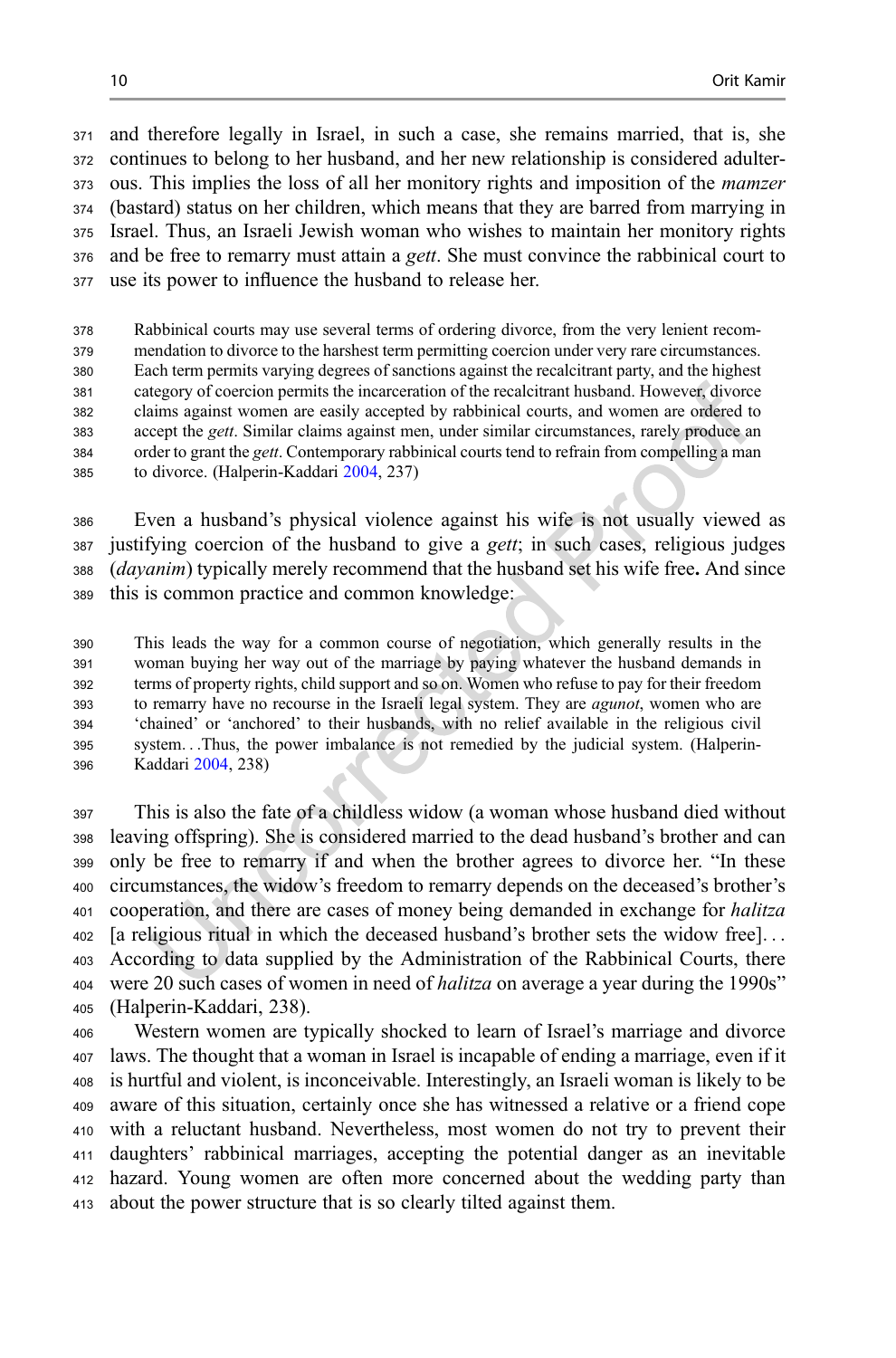and therefore legally in Israel, in such a case, she remains married, that is, she continues to belong to her husband, and her new relationship is considered adulter- ous. This implies the loss of all her monitory rights and imposition of the mamzer (bastard) status on her children, which means that they are barred from marrying in Israel. Thus, an Israeli Jewish woman who wishes to maintain her monitory rights and be free to remarry must attain a gett. She must convince the rabbinical court to use its power to influence the husband to release her.

 Rabbinical courts may use several terms of ordering divorce, from the very lenient recom- mendation to divorce to the harshest term permitting coercion under very rare circumstances. Each term permits varying degrees of sanctions against the recalcitrant party, and the highest category of coercion permits the incarceration of the recalcitrant husband. However, divorce claims against women are easily accepted by rabbinical courts, and women are ordered to accept the gett. Similar claims against men, under similar circumstances, rarely produce an 384 order to grant the gett. Contemporary rabbinical courts tend to refrain from compelling a man to divorce. (Halperin-Kaddari [2004](#page-15-0), 237)

 Even a husband's physical violence against his wife is not usually viewed as justifying coercion of the husband to give a gett; in such cases, religious judges (dayanim) typically merely recommend that the husband set his wife free. And since this is common practice and common knowledge:

 This leads the way for a common course of negotiation, which generally results in the woman buying her way out of the marriage by paying whatever the husband demands in terms of property rights, child support and so on. Women who refuse to pay for their freedom to remarry have no recourse in the Israeli legal system. They are agunot, women who are 'chained' or 'anchored' to their husbands, with no relief available in the religious civil system...Thus, the power imbalance is not remedied by the judicial system. (Halperin-Kaddari [2004](#page-15-0), 238)

 This is also the fate of a childless widow (a woman whose husband died without leaving offspring). She is considered married to the dead husband's brother and can only be free to remarry if and when the brother agrees to divorce her. "In these circumstances, the widow's freedom to remarry depends on the deceased's brother's 401 cooperation, and there are cases of money being demanded in exchange for halitza [a religious ritual in which the deceased husband's brother sets the widow free]... According to data supplied by the Administration of the Rabbinical Courts, there were 20 such cases of women in need of halitza on average a year during the 1990s" (Halperin-Kaddari, 238).

 Western women are typically shocked to learn of Israel's marriage and divorce laws. The thought that a woman in Israel is incapable of ending a marriage, even if it is hurtful and violent, is inconceivable. Interestingly, an Israeli woman is likely to be aware of this situation, certainly once she has witnessed a relative or a friend cope with a reluctant husband. Nevertheless, most women do not try to prevent their daughters' rabbinical marriages, accepting the potential danger as an inevitable hazard. Young women are often more concerned about the wedding party than about the power structure that is so clearly tilted against them.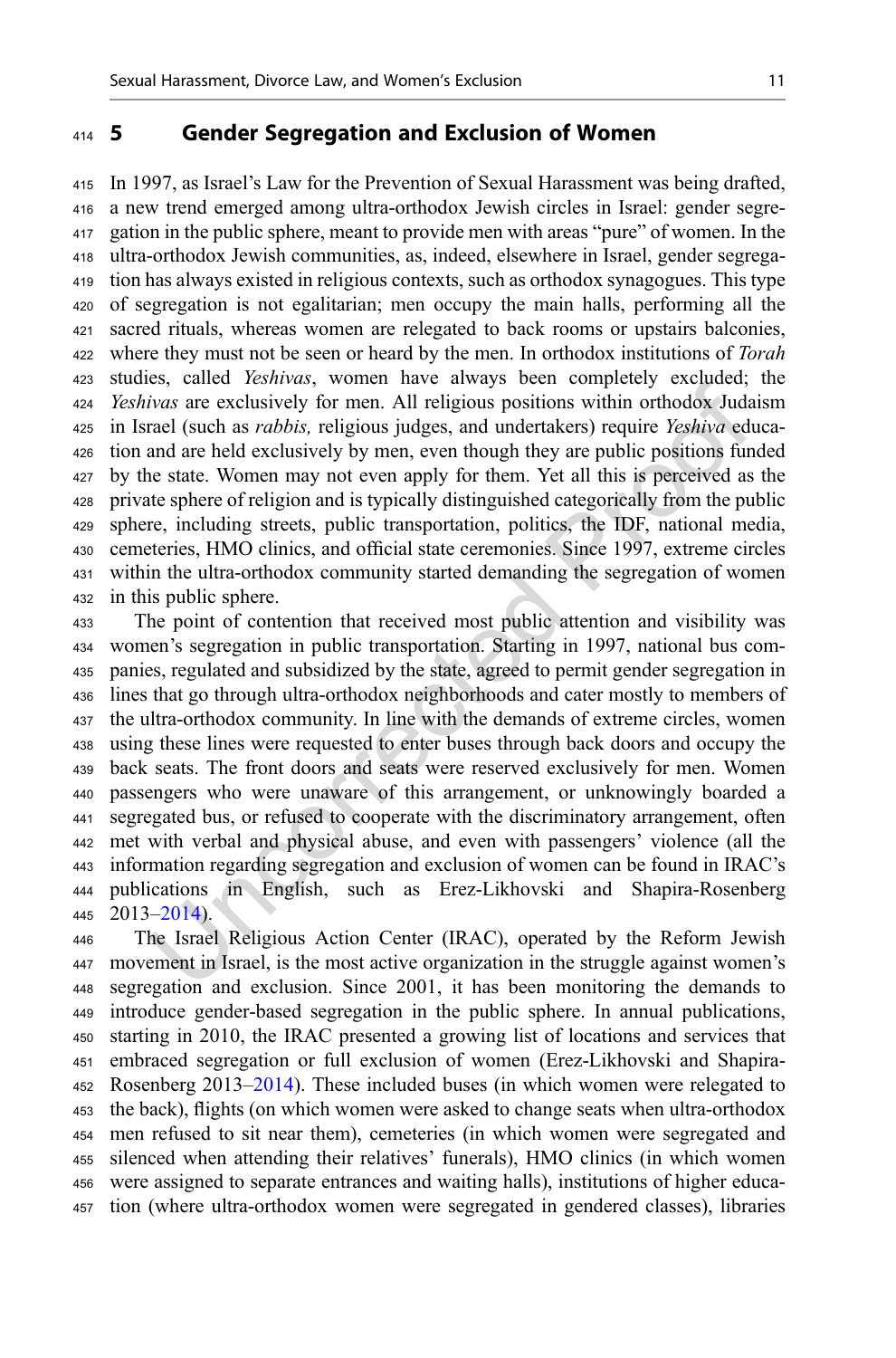#### <span id="page-11-0"></span>5 Gender Segregation and Exclusion of Women

 In 1997, as Israel's Law for the Prevention of Sexual Harassment was being drafted, a new trend emerged among ultra-orthodox Jewish circles in Israel: gender segre- gation in the public sphere, meant to provide men with areas "pure" of women. In the ultra-orthodox Jewish communities, as, indeed, elsewhere in Israel, gender segrega- tion has always existed in religious contexts, such as orthodox synagogues. This type of segregation is not egalitarian; men occupy the main halls, performing all the sacred rituals, whereas women are relegated to back rooms or upstairs balconies, 422 where they must not be seen or heard by the men. In orthodox institutions of Torah studies, called Yeshivas, women have always been completely excluded; the Yeshivas are exclusively for men. All religious positions within orthodox Judaism in Israel (such as rabbis, religious judges, and undertakers) require Yeshiva educa- tion and are held exclusively by men, even though they are public positions funded by the state. Women may not even apply for them. Yet all this is perceived as the private sphere of religion and is typically distinguished categorically from the public sphere, including streets, public transportation, politics, the IDF, national media, cemeteries, HMO clinics, and official state ceremonies. Since 1997, extreme circles within the ultra-orthodox community started demanding the segregation of women in this public sphere.

 The point of contention that received most public attention and visibility was women's segregation in public transportation. Starting in 1997, national bus com- panies, regulated and subsidized by the state, agreed to permit gender segregation in lines that go through ultra-orthodox neighborhoods and cater mostly to members of the ultra-orthodox community. In line with the demands of extreme circles, women using these lines were requested to enter buses through back doors and occupy the back seats. The front doors and seats were reserved exclusively for men. Women passengers who were unaware of this arrangement, or unknowingly boarded a segregated bus, or refused to cooperate with the discriminatory arrangement, often met with verbal and physical abuse, and even with passengers' violence (all the information regarding segregation and exclusion of women can be found in IRAC's publications in English, such as Erez-Likhovski and Shapira-Rosenberg  $445 \quad 2013 - 2014$ ).

 The Israel Religious Action Center (IRAC), operated by the Reform Jewish movement in Israel, is the most active organization in the struggle against women's segregation and exclusion. Since 2001, it has been monitoring the demands to introduce gender-based segregation in the public sphere. In annual publications, starting in 2010, the IRAC presented a growing list of locations and services that embraced segregation or full exclusion of women (Erez-Likhovski and Shapira- Rosenberg 2013–[2014](#page-15-0)). These included buses (in which women were relegated to the back), flights (on which women were asked to change seats when ultra-orthodox men refused to sit near them), cemeteries (in which women were segregated and silenced when attending their relatives' funerals), HMO clinics (in which women were assigned to separate entrances and waiting halls), institutions of higher educa-tion (where ultra-orthodox women were segregated in gendered classes), libraries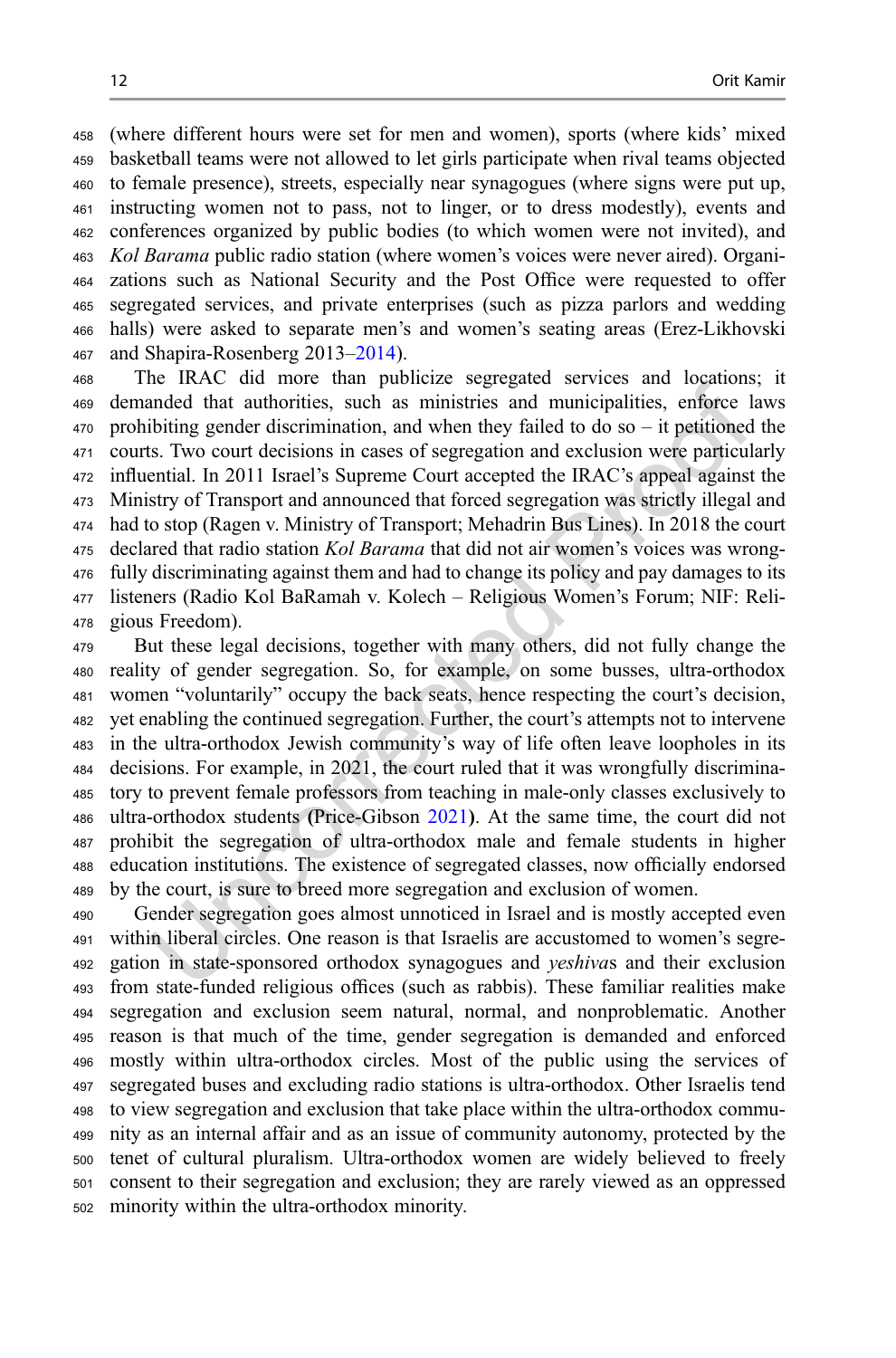(where different hours were set for men and women), sports (where kids' mixed basketball teams were not allowed to let girls participate when rival teams objected to female presence), streets, especially near synagogues (where signs were put up, instructing women not to pass, not to linger, or to dress modestly), events and conferences organized by public bodies (to which women were not invited), and Kol Barama public radio station (where women's voices were never aired). Organi- zations such as National Security and the Post Office were requested to offer segregated services, and private enterprises (such as pizza parlors and wedding halls) were asked to separate men's and women's seating areas (Erez-Likhovski and Shapira-Rosenberg 2013–[2014](#page-15-0)).

 The IRAC did more than publicize segregated services and locations; it demanded that authorities, such as ministries and municipalities, enforce laws prohibiting gender discrimination, and when they failed to do so – it petitioned the courts. Two court decisions in cases of segregation and exclusion were particularly influential. In 2011 Israel's Supreme Court accepted the IRAC's appeal against the Ministry of Transport and announced that forced segregation was strictly illegal and had to stop (Ragen v. Ministry of Transport; Mehadrin Bus Lines). In 2018 the court 475 declared that radio station Kol Barama that did not air women's voices was wrong- fully discriminating against them and had to change its policy and pay damages to its listeners (Radio Kol BaRamah v. Kolech – Religious Women's Forum; NIF: Reli-gious Freedom).

 But these legal decisions, together with many others, did not fully change the reality of gender segregation. So, for example, on some busses, ultra-orthodox women "voluntarily" occupy the back seats, hence respecting the court's decision, yet enabling the continued segregation. Further, the court's attempts not to intervene in the ultra-orthodox Jewish community's way of life often leave loopholes in its decisions. For example, in 2021, the court ruled that it was wrongfully discrimina- tory to prevent female professors from teaching in male-only classes exclusively to ultra-orthodox students (Price-Gibson [2021](#page-15-0)). At the same time, the court did not prohibit the segregation of ultra-orthodox male and female students in higher education institutions. The existence of segregated classes, now officially endorsed by the court, is sure to breed more segregation and exclusion of women.

 Gender segregation goes almost unnoticed in Israel and is mostly accepted even within liberal circles. One reason is that Israelis are accustomed to women's segre- gation in state-sponsored orthodox synagogues and yeshivas and their exclusion from state-funded religious offices (such as rabbis). These familiar realities make segregation and exclusion seem natural, normal, and nonproblematic. Another reason is that much of the time, gender segregation is demanded and enforced mostly within ultra-orthodox circles. Most of the public using the services of segregated buses and excluding radio stations is ultra-orthodox. Other Israelis tend to view segregation and exclusion that take place within the ultra-orthodox commu- nity as an internal affair and as an issue of community autonomy, protected by the tenet of cultural pluralism. Ultra-orthodox women are widely believed to freely consent to their segregation and exclusion; they are rarely viewed as an oppressed minority within the ultra-orthodox minority.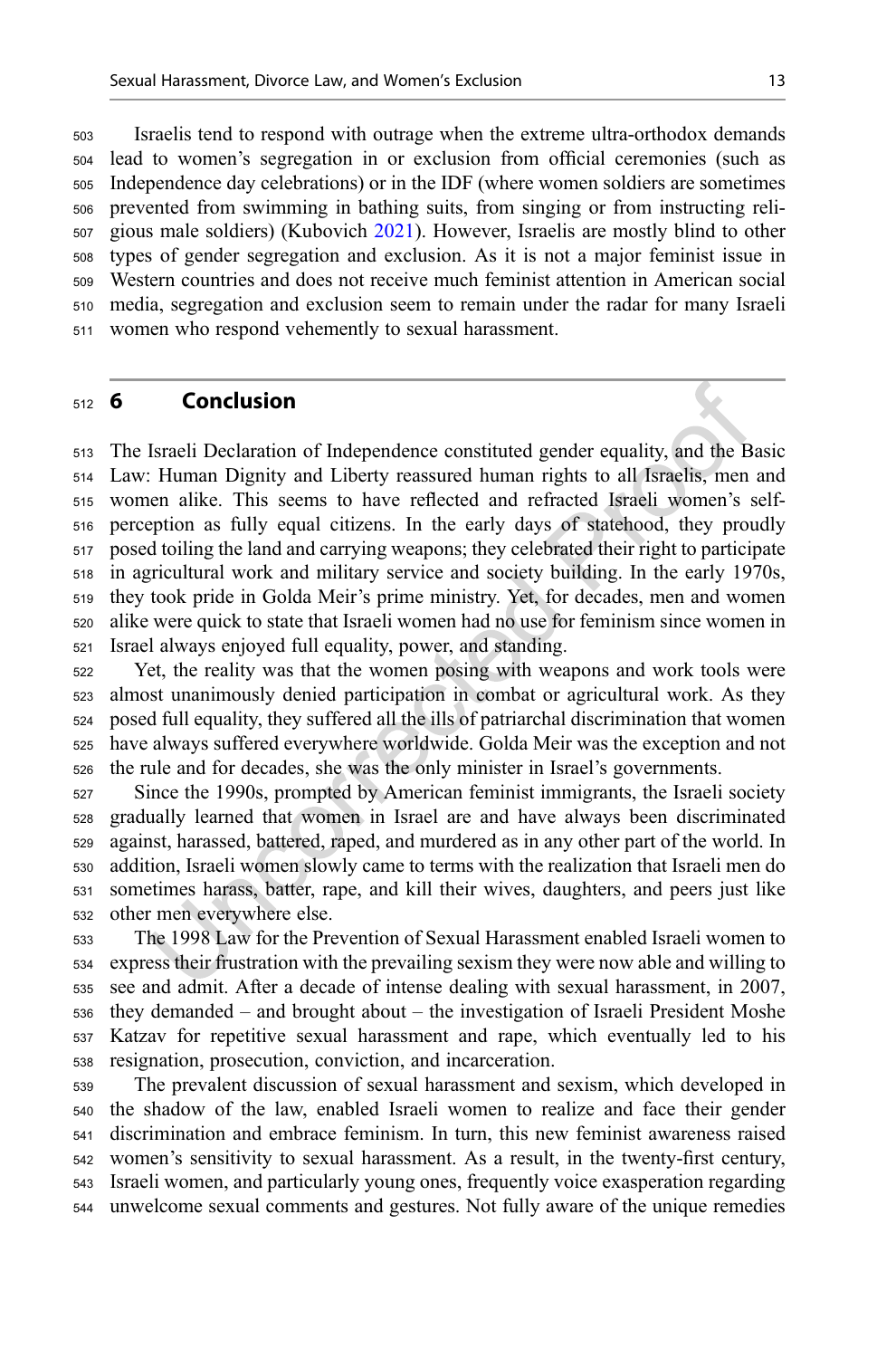<span id="page-13-0"></span> Israelis tend to respond with outrage when the extreme ultra-orthodox demands lead to women's segregation in or exclusion from official ceremonies (such as Independence day celebrations) or in the IDF (where women soldiers are sometimes prevented from swimming in bathing suits, from singing or from instructing reli- gious male soldiers) (Kubovich [2021\)](#page-15-0). However, Israelis are mostly blind to other types of gender segregation and exclusion. As it is not a major feminist issue in Western countries and does not receive much feminist attention in American social media, segregation and exclusion seem to remain under the radar for many Israeli women who respond vehemently to sexual harassment.

#### 6 Conclusion

 The Israeli Declaration of Independence constituted gender equality, and the Basic Law: Human Dignity and Liberty reassured human rights to all Israelis, men and women alike. This seems to have reflected and refracted Israeli women's self- perception as fully equal citizens. In the early days of statehood, they proudly posed toiling the land and carrying weapons; they celebrated their right to participate in agricultural work and military service and society building. In the early 1970s, they took pride in Golda Meir's prime ministry. Yet, for decades, men and women alike were quick to state that Israeli women had no use for feminism since women in Israel always enjoyed full equality, power, and standing.

 Yet, the reality was that the women posing with weapons and work tools were almost unanimously denied participation in combat or agricultural work. As they posed full equality, they suffered all the ills of patriarchal discrimination that women have always suffered everywhere worldwide. Golda Meir was the exception and not the rule and for decades, she was the only minister in Israel's governments.

 Since the 1990s, prompted by American feminist immigrants, the Israeli society gradually learned that women in Israel are and have always been discriminated against, harassed, battered, raped, and murdered as in any other part of the world. In addition, Israeli women slowly came to terms with the realization that Israeli men do sometimes harass, batter, rape, and kill their wives, daughters, and peers just like other men everywhere else.

 The 1998 Law for the Prevention of Sexual Harassment enabled Israeli women to express their frustration with the prevailing sexism they were now able and willing to see and admit. After a decade of intense dealing with sexual harassment, in 2007, they demanded – and brought about – the investigation of Israeli President Moshe Katzav for repetitive sexual harassment and rape, which eventually led to his resignation, prosecution, conviction, and incarceration.

 The prevalent discussion of sexual harassment and sexism, which developed in the shadow of the law, enabled Israeli women to realize and face their gender discrimination and embrace feminism. In turn, this new feminist awareness raised women's sensitivity to sexual harassment. As a result, in the twenty-first century, Israeli women, and particularly young ones, frequently voice exasperation regarding unwelcome sexual comments and gestures. Not fully aware of the unique remedies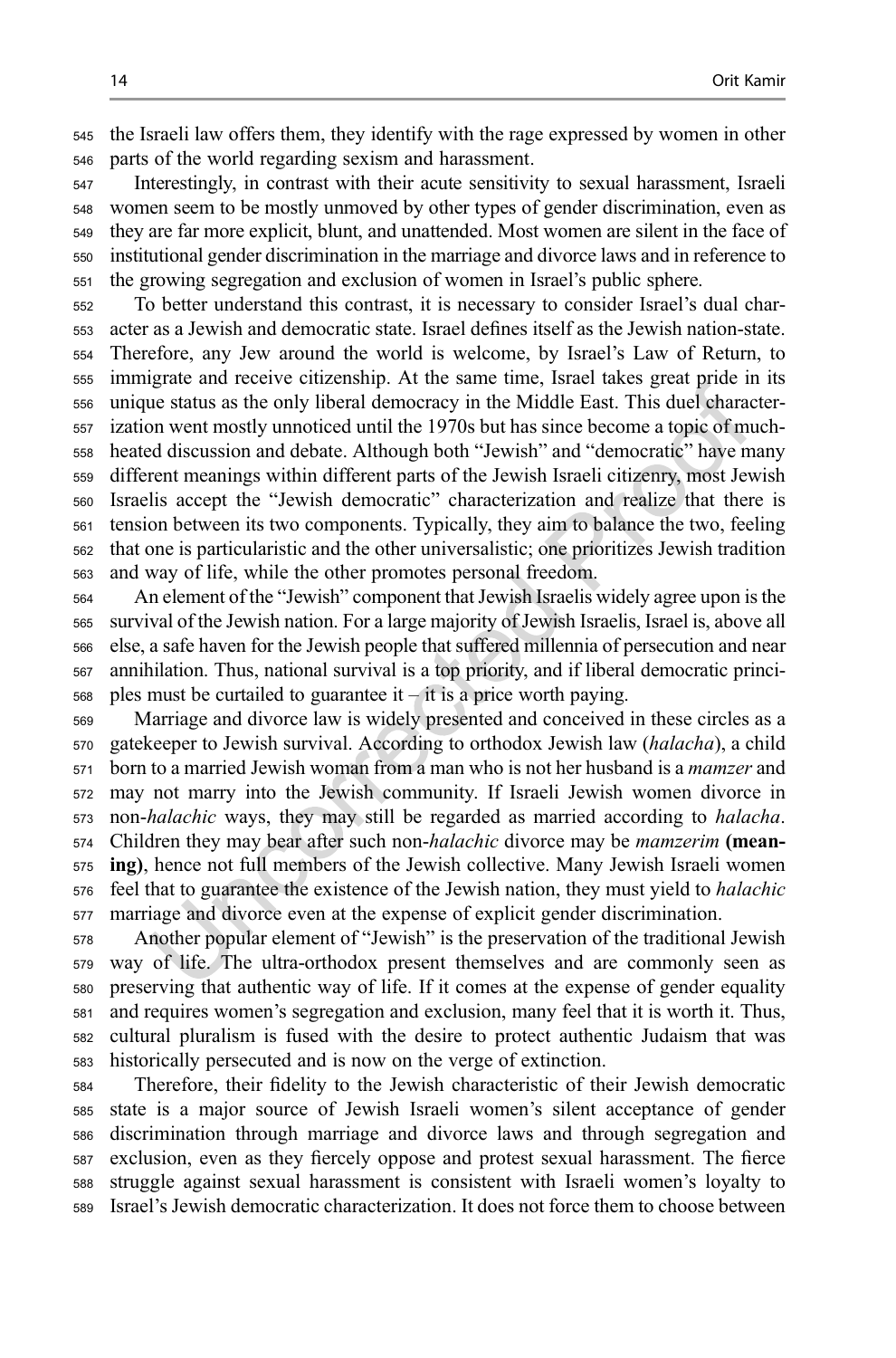the Israeli law offers them, they identify with the rage expressed by women in other parts of the world regarding sexism and harassment.

 Interestingly, in contrast with their acute sensitivity to sexual harassment, Israeli women seem to be mostly unmoved by other types of gender discrimination, even as they are far more explicit, blunt, and unattended. Most women are silent in the face of institutional gender discrimination in the marriage and divorce laws and in reference to the growing segregation and exclusion of women in Israel's public sphere.

 To better understand this contrast, it is necessary to consider Israel's dual char- acter as a Jewish and democratic state. Israel defines itself as the Jewish nation-state. Therefore, any Jew around the world is welcome, by Israel's Law of Return, to immigrate and receive citizenship. At the same time, Israel takes great pride in its unique status as the only liberal democracy in the Middle East. This duel character- ization went mostly unnoticed until the 1970s but has since become a topic of much- heated discussion and debate. Although both "Jewish" and "democratic" have many different meanings within different parts of the Jewish Israeli citizenry, most Jewish Israelis accept the "Jewish democratic" characterization and realize that there is tension between its two components. Typically, they aim to balance the two, feeling that one is particularistic and the other universalistic; one prioritizes Jewish tradition and way of life, while the other promotes personal freedom.

 An element of the "Jewish" component that Jewish Israelis widely agree upon is the survival of the Jewish nation. For a large majority of Jewish Israelis, Israel is, above all else, a safe haven for the Jewish people that suffered millennia of persecution and near annihilation. Thus, national survival is a top priority, and if liberal democratic princi-ples must be curtailed to guarantee it – it is a price worth paying.

 Marriage and divorce law is widely presented and conceived in these circles as a gatekeeper to Jewish survival. According to orthodox Jewish law (halacha), a child born to a married Jewish woman from a man who is not her husband is a mamzer and may not marry into the Jewish community. If Israeli Jewish women divorce in non-halachic ways, they may still be regarded as married according to halacha. 574 Children they may bear after such non-halachic divorce may be *mamzerim* (mean- ing), hence not full members of the Jewish collective. Many Jewish Israeli women feel that to guarantee the existence of the Jewish nation, they must yield to halachic marriage and divorce even at the expense of explicit gender discrimination.

 Another popular element of "Jewish" is the preservation of the traditional Jewish way of life. The ultra-orthodox present themselves and are commonly seen as preserving that authentic way of life. If it comes at the expense of gender equality and requires women's segregation and exclusion, many feel that it is worth it. Thus, cultural pluralism is fused with the desire to protect authentic Judaism that was historically persecuted and is now on the verge of extinction.

 Therefore, their fidelity to the Jewish characteristic of their Jewish democratic state is a major source of Jewish Israeli women's silent acceptance of gender discrimination through marriage and divorce laws and through segregation and exclusion, even as they fiercely oppose and protest sexual harassment. The fierce struggle against sexual harassment is consistent with Israeli women's loyalty to Israel's Jewish democratic characterization. It does not force them to choose between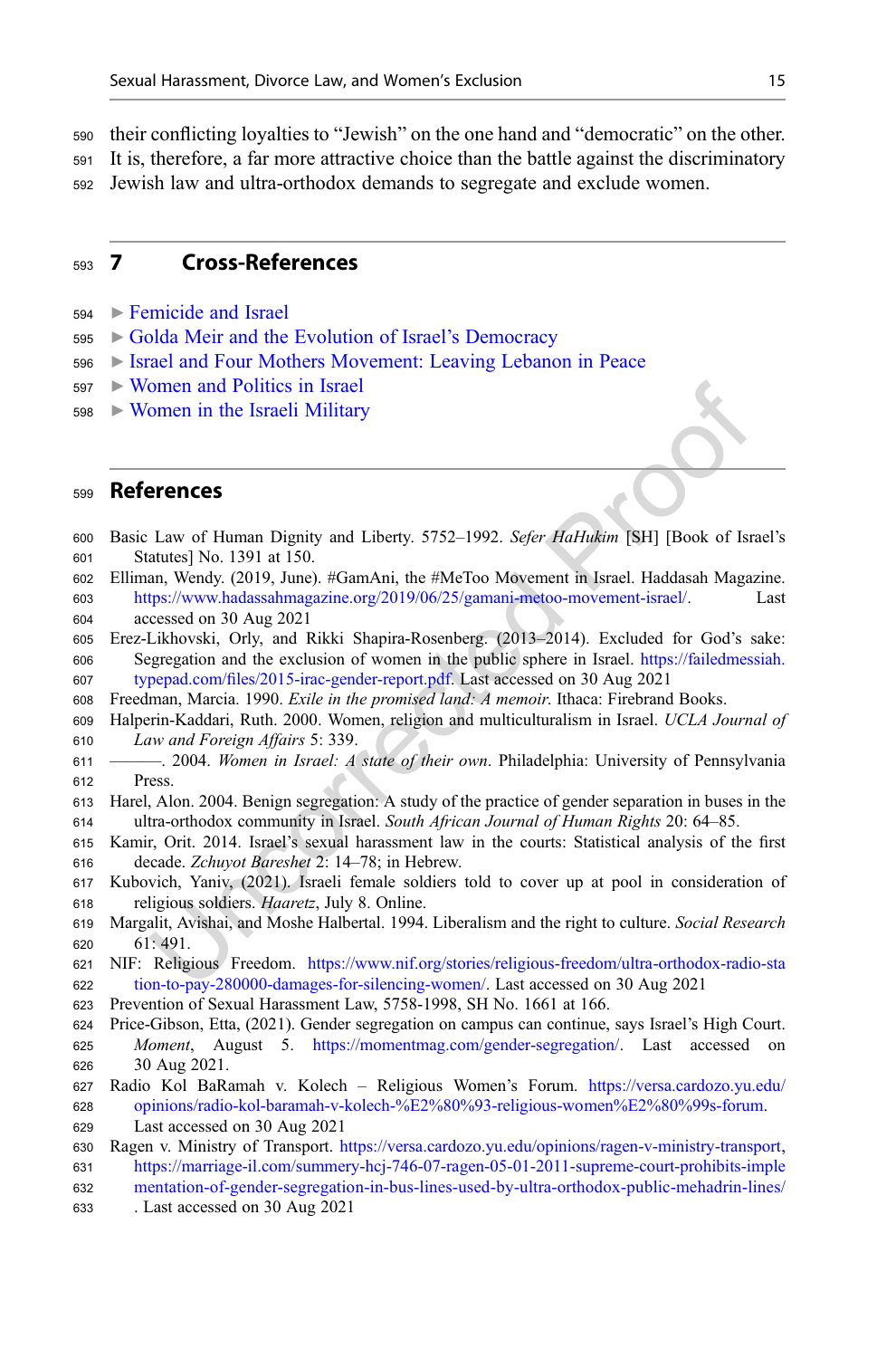<span id="page-15-0"></span> their conflicting loyalties to "Jewish" on the one hand and "democratic" on the other. It is, therefore, a far more attractive choice than the battle against the discriminatory Jewish law and ultra-orthodox demands to segregate and exclude women.

#### 7 Cross-References

- ▶ [Femicide and Israel](http://link.springer.com/search?facet-eisbn=978-981-16-2717-0&facet-content-type=ReferenceWorkEntry&query=Femicide and Israel)
- ▶ [Golda Meir and the Evolution of Israel](http://link.springer.com/search?facet-eisbn=978-981-16-2717-0&facet-content-type=ReferenceWorkEntry&query=Golda Meir and the Evolution of Israel�s Democracy)'s Democracy
- ▶ [Israel and Four Mothers Movement: Leaving Lebanon in Peace](http://link.springer.com/search?facet-eisbn=978-981-16-2717-0&facet-content-type=ReferenceWorkEntry&query=Israel and Four Mothers Movement: Leaving Lebanon in Peace)
- ▶ [Women and Politics in Israel](http://link.springer.com/search?facet-eisbn=978-981-16-2717-0&facet-content-type=ReferenceWorkEntry&query=Women and Politics in Israel)
- ▶ [Women in the Israeli Military](http://link.springer.com/search?facet-eisbn=978-981-16-2717-0&facet-content-type=ReferenceWorkEntry&query=Women in the Israeli Military)

#### References

- Basic Law of Human Dignity and Liberty. 5752–1992. Sefer HaHukim [SH] [Book of Israel's Statutes] No. 1391 at 150.
- Elliman, Wendy. (2019, June). #GamAni, the #MeToo Movement in Israel. Haddasah Magazine. <https://www.hadassahmagazine.org/2019/06/25/gamani-metoo-movement-israel/>. Last accessed on 30 Aug 2021
- Erez-Likhovski, Orly, and Rikki Shapira-Rosenberg. (2013–2014). Excluded for God's sake: Segregation and the exclusion of women in the public sphere in Israel. [https://failedmessiah.](https://failedmessiah.typepad.com/files/2015-irac-gender-report.pdf) typepad.com/fi[les/2015-irac-gender-report.pdf](https://failedmessiah.typepad.com/files/2015-irac-gender-report.pdf). Last accessed on 30 Aug 2021
- Freedman, Marcia. 1990. Exile in the promised land: A memoir. Ithaca: Firebrand Books.
- Halperin-Kaddari, Ruth. 2000. Women, religion and multiculturalism in Israel. UCLA Journal of Law and Foreign Affairs 5: 339.
- ———. 2004. Women in Israel: A state of their own. Philadelphia: University of Pennsylvania Press.
- Harel, Alon. 2004. Benign segregation: A study of the practice of gender separation in buses in the ultra-orthodox community in Israel. South African Journal of Human Rights 20: 64–85.
- Kamir, Orit. 2014. Israel's sexual harassment law in the courts: Statistical analysis of the first decade. Zchuyot Bareshet 2: 14–78; in Hebrew.
- Kubovich, Yaniv, (2021). Israeli female soldiers told to cover up at pool in consideration of religious soldiers. Haaretz, July 8. Online.
- Margalit, Avishai, and Moshe Halbertal. 1994. Liberalism and the right to culture. Social Research 61: 491.
- NIF: Religious Freedom. [https://www.nif.org/stories/religious-freedom/ultra-orthodox-radio-sta](https://www.nif.org/stories/religious-freedom/ultra-orthodox-radio-station-to-pay-280000-damages-for-silencing-women/) [tion-to-pay-280000-damages-for-silencing-women/](https://www.nif.org/stories/religious-freedom/ultra-orthodox-radio-station-to-pay-280000-damages-for-silencing-women/). Last accessed on 30 Aug 2021
- Prevention of Sexual Harassment Law, 5758-1998, SH No. 1661 at 166.
- Price-Gibson, Etta, (2021). Gender segregation on campus can continue, says Israel's High Court. Moment, August 5. [https://momentmag.com/gender-segregation/.](https://momentmag.com/gender-segregation/) Last accessed on 30 Aug 2021.
- Radio Kol BaRamah v. Kolech Religious Women's Forum. [https://versa.cardozo.yu.edu/](https://versa.cardozo.yu.edu/opinions/radio-kol-baramah-v-kolech-%E2%80%93-religious-women%E2%80%99s-forum) [opinions/radio-kol-baramah-v-kolech-%E2%80%93-religious-women%E2%80%99s-forum.](https://versa.cardozo.yu.edu/opinions/radio-kol-baramah-v-kolech-%E2%80%93-religious-women%E2%80%99s-forum) Last accessed on 30 Aug 2021
- Ragen v. Ministry of Transport. <https://versa.cardozo.yu.edu/opinions/ragen-v-ministry-transport>, [https://marriage-il.com/summery-hcj-746-07-ragen-05-01-2011-supreme-court-prohibits-imple](https://marriage-il.com/summery-hcj-746-07-ragen-05-01-2011-supreme-court-prohibits-implementation-of-gender-segregation-in-bus-lines-used-by-ultra-orthodox-public-mehadrin-lines/)
- [mentation-of-gender-segregation-in-bus-lines-used-by-ultra-orthodox-public-mehadrin-lines/](https://marriage-il.com/summery-hcj-746-07-ragen-05-01-2011-supreme-court-prohibits-implementation-of-gender-segregation-in-bus-lines-used-by-ultra-orthodox-public-mehadrin-lines/)
- . Last accessed on 30 Aug 2021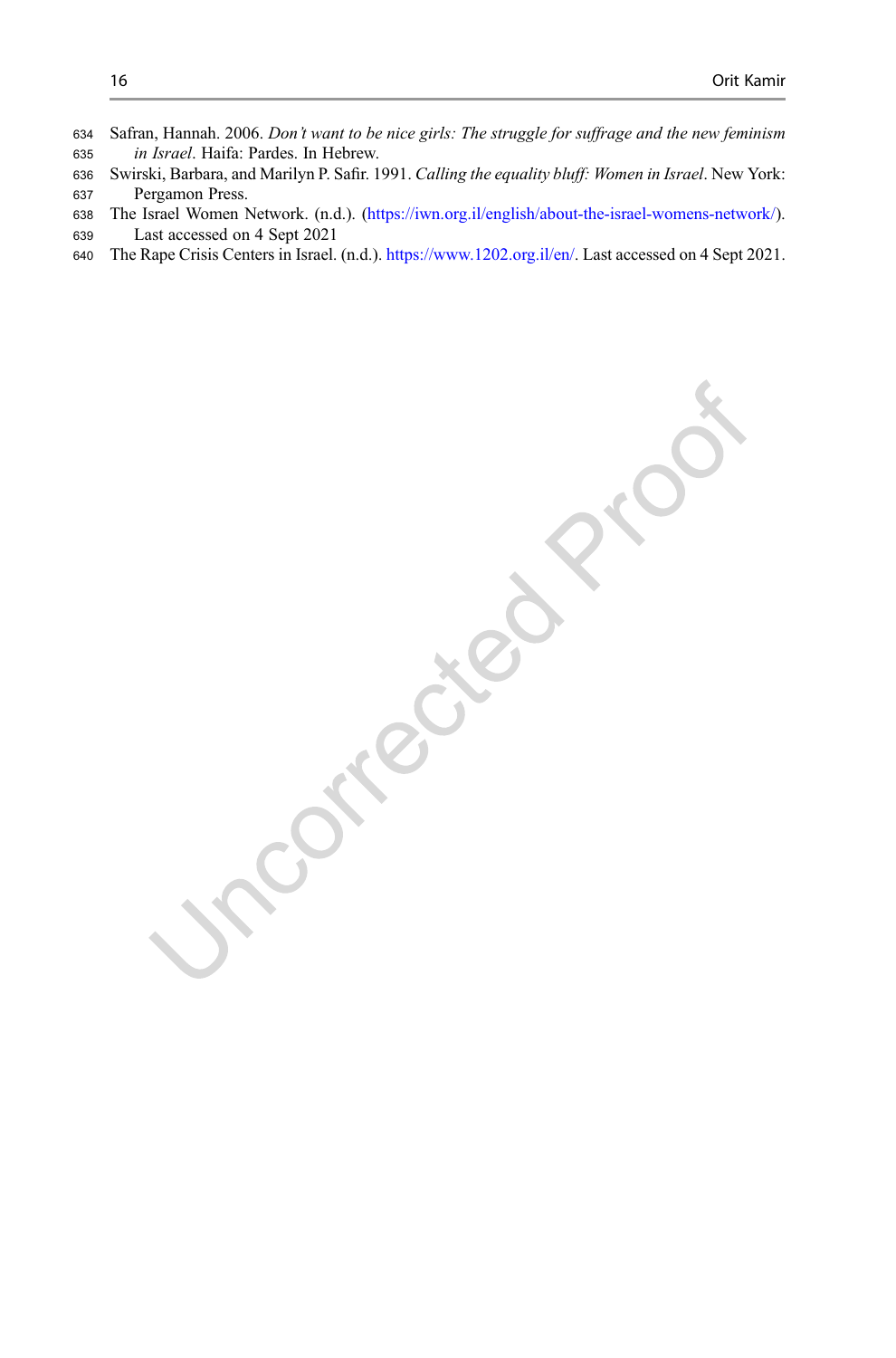- <span id="page-16-0"></span> Safran, Hannah. 2006. Don't want to be nice girls: The struggle for suffrage and the new feminism in Israel. Haifa: Pardes. In Hebrew.
- 636 Swirski, Barbara, and Marilyn P. Safir. 1991. Calling the equality bluff: Women in Israel. New York:<br>637 Pergamon Press. Pergamon Press.
- The Israel Women Network. (n.d.). [\(https://iwn.org.il/english/about-the-israel-womens-network/\)](https://iwn.org.il/english/about-the-israel-womens-network/). Last accessed on 4 Sept 2021
- The Rape Crisis Centers in Israel. (n.d.). [https://www.1202.org.il/en/.](https://www.1202.org.il/en/) Last accessed on 4 Sept 2021.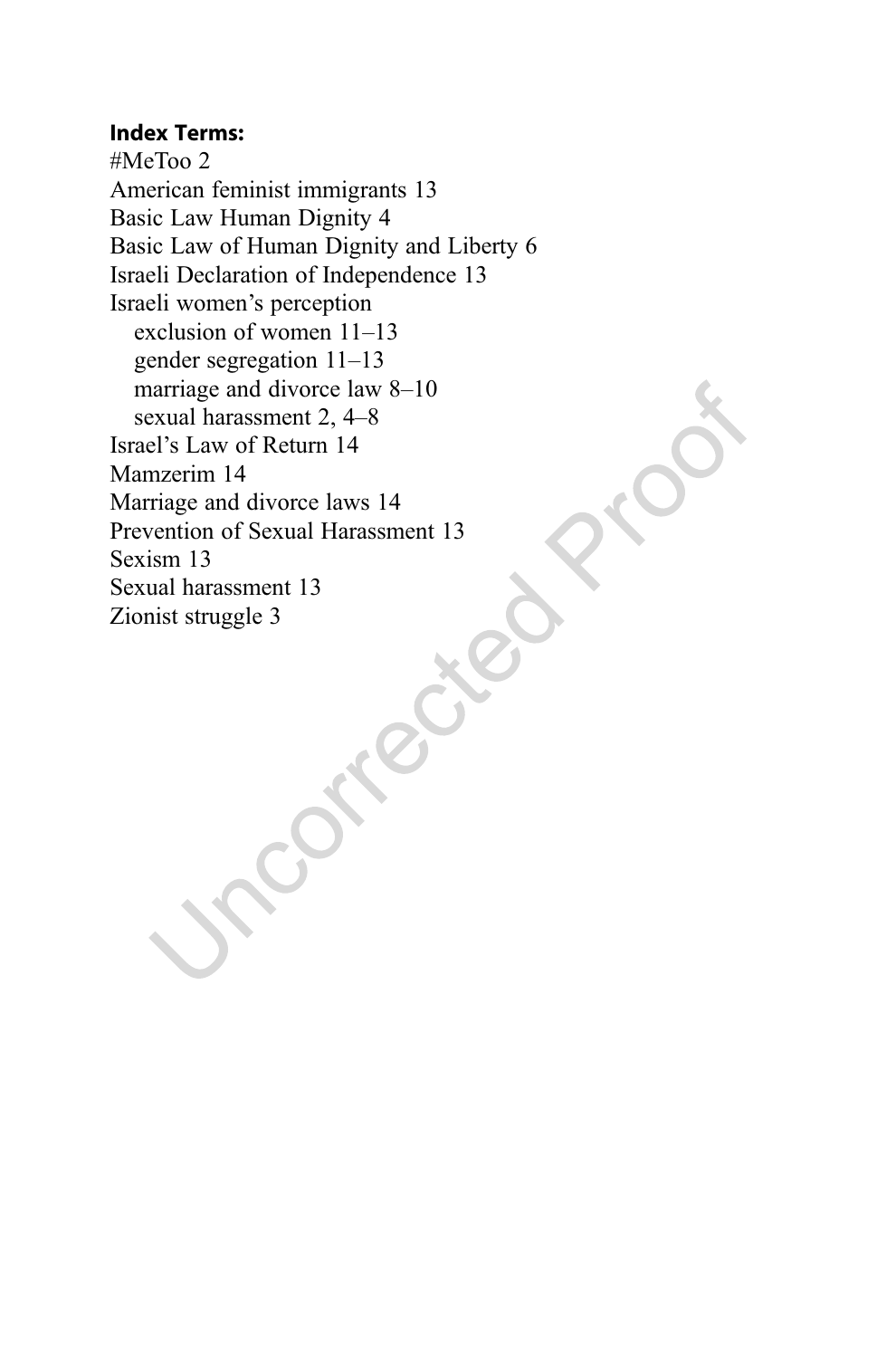#### Index Terms:

#MeToo 2 American feminist immigrants 13 Basic Law Human Dignity 4 Basic Law of Human Dignity and Liberty 6 Israeli Declaration of Independence 13 Israeli women's perception exclusion of women 11–13 gender segregation 11–13 marriage and divorce law 8–10 sexual harassment 2, 4–8 Israel's Law of Return 14 Mamzerim 14 Marriage and divorce laws 14 Prevention of Sexual Harassment 13 Sexism 13 Sexual harassment 13 Zionist struggle 3